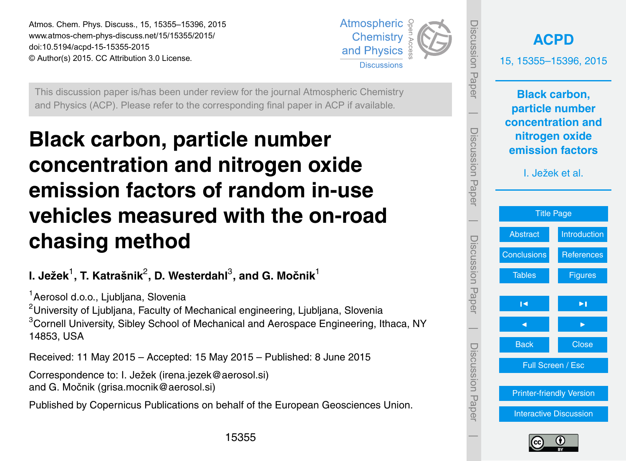<span id="page-0-0"></span>Atmos. Chem. Phys. Discuss., 15, 15355–15396, 2015 www.atmos-chem-phys-discuss.net/15/15355/2015/ doi:10.5194/acpd-15-15355-2015 © Author(s) 2015. CC Attribution 3.0 License.



This discussion paper is/has been under review for the journal Atmospheric Chemistry and Physics (ACP). Please refer to the corresponding final paper in ACP if available.

# **Black carbon, particle number concentration and nitrogen oxide emission factors of random in-use vehicles measured with the on-road chasing method**

# **I. Ježek**<sup>1</sup> **, T. Katrašnik**<sup>2</sup> **, D. Westerdahl**<sup>3</sup> **, and G. Močnik**<sup>1</sup>

<sup>1</sup> Aerosol d.o.o., Liubliana, Slovenia

<sup>2</sup>University of Ljubljana, Faculty of Mechanical engineering, Ljubljana, Slovenia <sup>3</sup>Cornell University, Sibley School of Mechanical and Aerospace Engineering, Ithaca, NY 14853, USA

Received: 11 May 2015 – Accepted: 15 May 2015 – Published: 8 June 2015

Correspondence to: I. Ježek (irena.jezek@aerosol.si) and G. Močnik (grisa.mocnik@aerosol.si)

Published by Copernicus Publications on behalf of the European Geosciences Union.



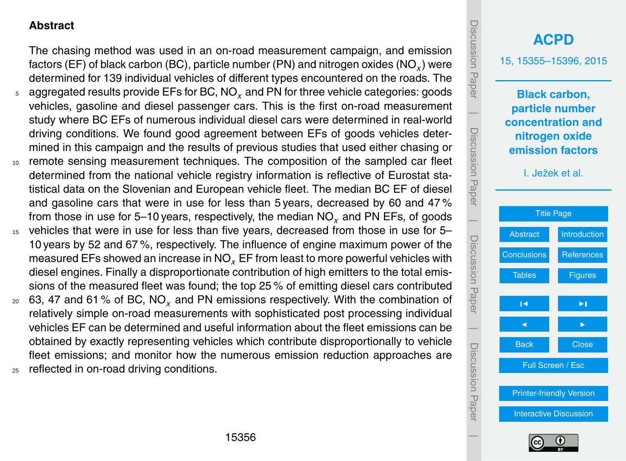#### <span id="page-1-0"></span>**Abstract**

The chasing method was used in an on-road measurement campaign, and emission factors (EF) of black carbon (BC), particle number (PN) and nitrogen oxides (NO*<sup>x</sup>* ) were determined for 139 individual vehicles of different types encountered on the roads. The <sup>5</sup> aggregated results provide EFs for BC, NO*<sup>x</sup>* and PN for three vehicle categories: goods vehicles, gasoline and diesel passenger cars. This is the first on-road measurement study where BC EFs of numerous individual diesel cars were determined in real-world driving conditions. We found good agreement between EFs of goods vehicles determined in this campaign and the results of previous studies that used either chasing or <sup>10</sup> remote sensing measurement techniques. The composition of the sampled car fleet determined from the national vehicle registry information is reflective of Eurostat statistical data on the Slovenian and European vehicle fleet. The median BC EF of diesel and gasoline cars that were in use for less than 5 years, decreased by 60 and 47 % from those in use for 5–10 years, respectively, the median NO*<sup>x</sup>* and PN EFs, of goods

- vehicles that were in use for less than five years, decreased from those in use for 5– 10 years by 52 and 67 %, respectively. The influence of engine maximum power of the measured EFs showed an increase in NO*<sup>x</sup>* EF from least to more powerful vehicles with diesel engines. Finally a disproportionate contribution of high emitters to the total emissions of the measured fleet was found; the top 25 % of emitting diesel cars contributed
- <sup>20</sup> 63, 47 and 61 % of BC, NO*<sup>x</sup>* and PN emissions respectively. With the combination of relatively simple on-road measurements with sophisticated post processing individual vehicles EF can be determined and useful information about the fleet emissions can be obtained by exactly representing vehicles which contribute disproportionally to vehicle fleet emissions; and monitor how the numerous emission reduction approaches are 25 reflected in on-road driving conditions.



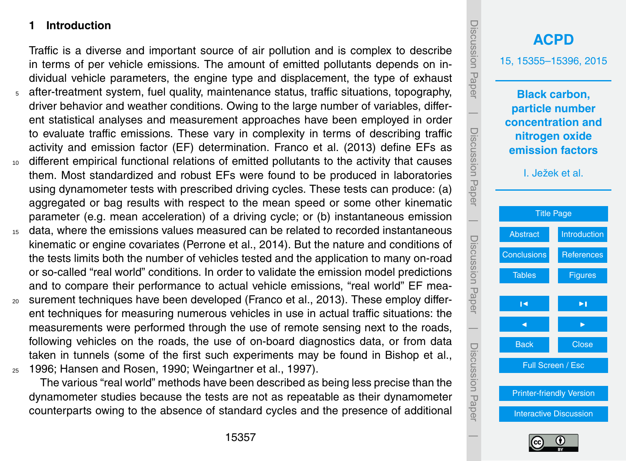#### <span id="page-2-0"></span>**1 Introduction**

Traffic is a diverse and important source of air pollution and is complex to describe in terms of per vehicle emissions. The amount of emitted pollutants depends on individual vehicle parameters, the engine type and displacement, the type of exhaust <sup>5</sup> after-treatment system, fuel quality, maintenance status, traffic situations, topography, driver behavior and weather conditions. Owing to the large number of variables, different statistical analyses and measurement approaches have been employed in order to evaluate traffic emissions. These vary in complexity in terms of describing traffic activity and emission factor (EF) determination. Franco et al. (2013) define EFs as <sup>10</sup> different empirical functional relations of emitted pollutants to the activity that causes them. Most standardized and robust EFs were found to be produced in laboratories using dynamometer tests with prescribed driving cycles. These tests can produce: (a) aggregated or bag results with respect to the mean speed or some other kinematic parameter (e.g. mean acceleration) of a driving cycle; or (b) instantaneous emission

- data, where the emissions values measured can be related to recorded instantaneous kinematic or engine covariates (Perrone et al., 2014). But the nature and conditions of the tests limits both the number of vehicles tested and the application to many on-road or so-called "real world" conditions. In order to validate the emission model predictions and to compare their performance to actual vehicle emissions, "real world" EF mea-
- <sup>20</sup> surement techniques have been developed (Franco et al., 2013). These employ different techniques for measuring numerous vehicles in use in actual traffic situations: the measurements were performed through the use of remote sensing next to the roads, following vehicles on the roads, the use of on-board diagnostics data, or from data taken in tunnels (some of the first such experiments may be found in Bishop et al., <sup>25</sup> 1996; Hansen and Rosen, 1990; Weingartner et al., 1997).

The various "real world" methods have been described as being less precise than the dynamometer studies because the tests are not as repeatable as their dynamometer counterparts owing to the absence of standard cycles and the presence of additional



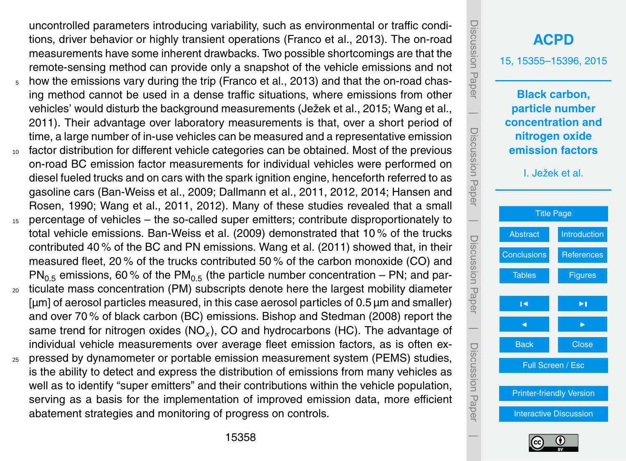tions, driver behavior or highly transient operations (Franco et al., 2013). The on-road measurements have some inherent drawbacks. Two possible shortcomings are that the remote-sensing method can provide only a snapshot of the vehicle emissions and not <sup>5</sup> how the emissions vary during the trip (Franco et al., 2013) and that the on-road chasing method cannot be used in a dense traffic situations, where emissions from other vehicles' would disturb the background measurements (Ježek et al., 2015; Wang et al., 2011). Their advantage over laboratory measurements is that, over a short period of time, a large number of in-use vehicles can be measured and a representative emission <sup>10</sup> factor distribution for different vehicle categories can be obtained. Most of the previous on-road BC emission factor measurements for individual vehicles were performed on diesel fueled trucks and on cars with the spark ignition engine, henceforth referred to as gasoline cars (Ban-Weiss et al., 2009; Dallmann et al., 2011, 2012, 2014; Hansen and Rosen, 1990; Wang et al., 2011, 2012). Many of these studies revealed that a small <sup>15</sup> percentage of vehicles – the so-called super emitters; contribute disproportionately to total vehicle emissions. Ban-Weiss et al. (2009) demonstrated that 10 % of the trucks contributed 40 % of the BC and PN emissions. Wang et al. (2011) showed that, in their measured fleet, 20 % of the trucks contributed 50 % of the carbon monoxide (CO) and  $\text{PN}_{0.5}$  emissions, 60 % of the PM<sub>0.5</sub> (the particle number concentration – PN; and par-<sup>20</sup> ticulate mass concentration (PM) subscripts denote here the largest mobility diameter [µm] of aerosol particles measured, in this case aerosol particles of 0.5 µm and smaller) and over 70 % of black carbon (BC) emissions. Bishop and Stedman (2008) report the same trend for nitrogen oxides (NO*<sup>x</sup>* ), CO and hydrocarbons (HC). The advantage of individual vehicle measurements over average fleet emission factors, as is often ex-<sup>25</sup> pressed by dynamometer or portable emission measurement system (PEMS) studies, is the ability to detect and express the distribution of emissions from many vehicles as well as to identify "super emitters" and their contributions within the vehicle population, serving as a basis for the implementation of improved emission data, more efficient abatement strategies and monitoring of progress on controls.

uncontrolled parameters introducing variability, such as environmental or traffic condi-



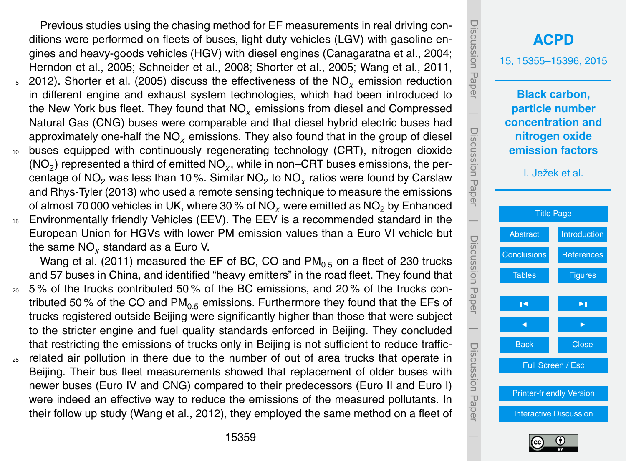Previous studies using the chasing method for EF measurements in real driving conditions were performed on fleets of buses, light duty vehicles (LGV) with gasoline engines and heavy-goods vehicles (HGV) with diesel engines (Canagaratna et al., 2004; Herndon et al., 2005; Schneider et al., 2008; Shorter et al., 2005; Wang et al., 2011, <sup>5</sup> 2012). Shorter et al. (2005) discuss the effectiveness of the NO*<sup>x</sup>* emission reduction in different engine and exhaust system technologies, which had been introduced to the New York bus fleet. They found that NO*<sup>x</sup>* emissions from diesel and Compressed Natural Gas (CNG) buses were comparable and that diesel hybrid electric buses had approximately one-half the NO*<sup>x</sup>* emissions. They also found that in the group of diesel <sup>10</sup> buses equipped with continuously regenerating technology (CRT), nitrogen dioxide (NO<sub>2</sub>) represented a third of emitted NO<sub>x</sub>, while in non–CRT buses emissions, the percentage of NO<sub>2</sub> was less than 10 %. Similar NO<sub>2</sub> to NO<sub>x</sub> ratios were found by Carslaw and Rhys-Tyler (2013) who used a remote sensing technique to measure the emissions of almost 70 000 vehicles in UK, where 30 % of NO<sub>x</sub> were emitted as NO<sub>2</sub> by Enhanced <sup>15</sup> Environmentally friendly Vehicles (EEV). The EEV is a recommended standard in the European Union for HGVs with lower PM emission values than a Euro VI vehicle but the same NO*<sup>x</sup>* standard as a Euro V.

Wang et al. (2011) measured the EF of BC, CO and  $PM<sub>0.5</sub>$  on a fleet of 230 trucks and 57 buses in China, and identified "heavy emitters" in the road fleet. They found that

- $20\,$  5% of the trucks contributed 50% of the BC emissions, and 20% of the trucks contributed 50% of the CO and  $PM_{0.5}$  emissions. Furthermore they found that the EFs of trucks registered outside Beijing were significantly higher than those that were subject to the stricter engine and fuel quality standards enforced in Beijing. They concluded that restricting the emissions of trucks only in Beijing is not sufficient to reduce traffic-
- $25$  related air pollution in there due to the number of out of area trucks that operate in Beijing. Their bus fleet measurements showed that replacement of older buses with newer buses (Euro IV and CNG) compared to their predecessors (Euro II and Euro I) were indeed an effective way to reduce the emissions of the measured pollutants. In their follow up study (Wang et al., 2012), they employed the same method on a fleet of



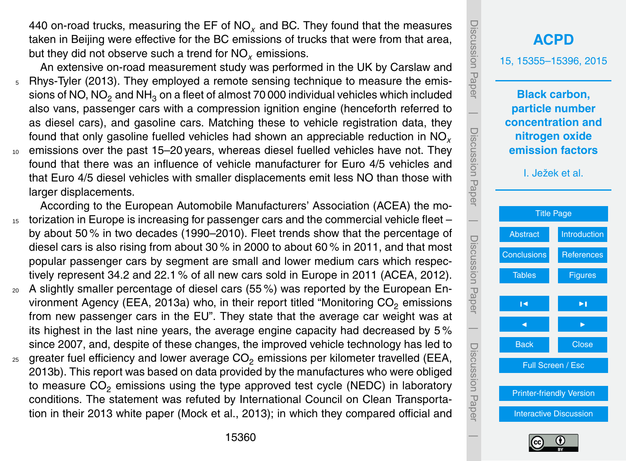440 on-road trucks, measuring the EF of NO*<sup>x</sup>* and BC. They found that the measures taken in Beijing were effective for the BC emissions of trucks that were from that area, but they did not observe such a trend for NO*<sup>x</sup>* emissions.

An extensive on-road measurement study was performed in the UK by Carslaw and <sup>5</sup> Rhys-Tyler (2013). They employed a remote sensing technique to measure the emissions of NO, NO<sub>2</sub> and NH<sub>3</sub> on a fleet of almost 70 000 individual vehicles which included also vans, passenger cars with a compression ignition engine (henceforth referred to as diesel cars), and gasoline cars. Matching these to vehicle registration data, they found that only gasoline fuelled vehicles had shown an appreciable reduction in NO*<sup>x</sup>* <sup>10</sup> emissions over the past 15–20 years, whereas diesel fuelled vehicles have not. They

- found that there was an influence of vehicle manufacturer for Euro 4/5 vehicles and that Euro 4/5 diesel vehicles with smaller displacements emit less NO than those with larger displacements.
- According to the European Automobile Manufacturers' Association (ACEA) the mo-<sup>15</sup> torization in Europe is increasing for passenger cars and the commercial vehicle fleet – by about 50 % in two decades (1990–2010). Fleet trends show that the percentage of diesel cars is also rising from about 30 % in 2000 to about 60 % in 2011, and that most popular passenger cars by segment are small and lower medium cars which respectively represent 34.2 and 22.1 % of all new cars sold in Europe in 2011 (ACEA, 2012).
- $20$  A slightly smaller percentage of diesel cars (55%) was reported by the European Environment Agency (EEA, 2013a) who, in their report titled "Monitoring  $CO<sub>2</sub>$  emissions from new passenger cars in the EU". They state that the average car weight was at its highest in the last nine years, the average engine capacity had decreased by 5 % since 2007, and, despite of these changes, the improved vehicle technology has led to
- $25$  greater fuel efficiency and lower average CO<sub>2</sub> emissions per kilometer travelled (EEA, 2013b). This report was based on data provided by the manufactures who were obliged to measure  $CO<sub>2</sub>$  emissions using the type approved test cycle (NEDC) in laboratory conditions. The statement was refuted by International Council on Clean Transportation in their 2013 white paper (Mock et al., 2013); in which they compared official and

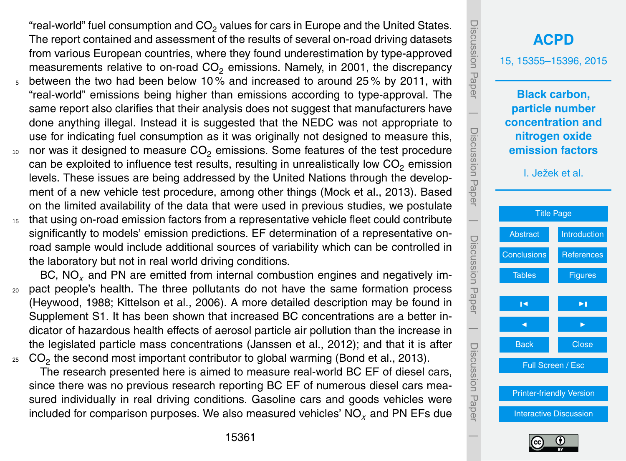"real-world" fuel consumption and CO $_2$  values for cars in Europe and the United States. The report contained and assessment of the results of several on-road driving datasets from various European countries, where they found underestimation by type-approved measurements relative to on-road  $CO<sub>2</sub>$  emissions. Namely, in 2001, the discrepancy <sup>5</sup> between the two had been below 10 % and increased to around 25 % by 2011, with "real-world" emissions being higher than emissions according to type-approval. The same report also clarifies that their analysis does not suggest that manufacturers have done anything illegal. Instead it is suggested that the NEDC was not appropriate to use for indicating fuel consumption as it was originally not designed to measure this,  $10$  nor was it designed to measure CO<sub>2</sub> emissions. Some features of the test procedure can be exploited to influence test results, resulting in unrealistically low  $CO<sub>2</sub>$  emission levels. These issues are being addressed by the United Nations through the development of a new vehicle test procedure, among other things (Mock et al., 2013). Based

on the limited availability of the data that were used in previous studies, we postulate <sup>15</sup> that using on-road emission factors from a representative vehicle fleet could contribute significantly to models' emission predictions. EF determination of a representative onroad sample would include additional sources of variability which can be controlled in the laboratory but not in real world driving conditions.

BC, NO*<sup>x</sup>* and PN are emitted from internal combustion engines and negatively im-<sup>20</sup> pact people's health. The three pollutants do not have the same formation process (Heywood, 1988; Kittelson et al., 2006). A more detailed description may be found in Supplement S1. It has been shown that increased BC concentrations are a better indicator of hazardous health effects of aerosol particle air pollution than the increase in the legislated particle mass concentrations (Janssen et al., 2012); and that it is after  $_{25}\;$  CO $_2$  the second most important contributor to global warming (Bond et al., 2013).

The research presented here is aimed to measure real-world BC EF of diesel cars, since there was no previous research reporting BC EF of numerous diesel cars measured individually in real driving conditions. Gasoline cars and goods vehicles were included for comparison purposes. We also measured vehicles' NO*<sup>x</sup>* and PN EFs due

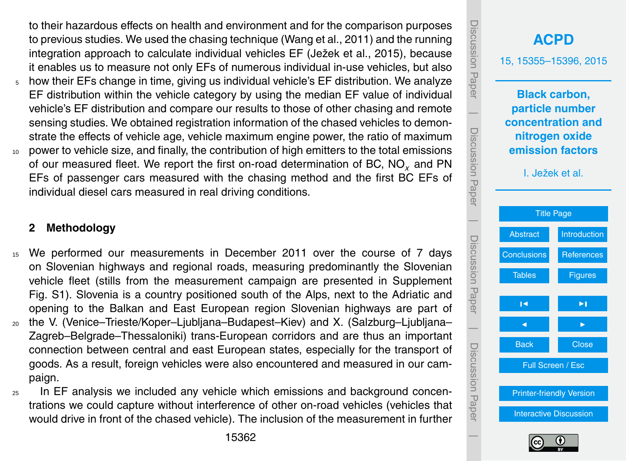to their hazardous effects on health and environment and for the comparison purposes to previous studies. We used the chasing technique (Wang et al., 2011) and the running integration approach to calculate individual vehicles EF (Ježek et al., 2015), because it enables us to measure not only EFs of numerous individual in-use vehicles, but also  $5$  how their EFs change in time, giving us individual vehicle's EF distribution. We analyze EF distribution within the vehicle category by using the median EF value of individual vehicle's EF distribution and compare our results to those of other chasing and remote sensing studies. We obtained registration information of the chased vehicles to demonstrate the effects of vehicle age, vehicle maximum engine power, the ratio of maximum

<sup>10</sup> power to vehicle size, and finally, the contribution of high emitters to the total emissions of our measured fleet. We report the first on-road determination of BC, NO*<sup>x</sup>* and PN EFs of passenger cars measured with the chasing method and the first BC EFs of individual diesel cars measured in real driving conditions.

#### **2 Methodology**

- <sup>15</sup> We performed our measurements in December 2011 over the course of 7 days on Slovenian highways and regional roads, measuring predominantly the Slovenian vehicle fleet (stills from the measurement campaign are presented in Supplement Fig. S1). Slovenia is a country positioned south of the Alps, next to the Adriatic and opening to the Balkan and East European region Slovenian highways are part of
- <sup>20</sup> the V. (Venice–Trieste/Koper–Ljubljana–Budapest–Kiev) and X. (Salzburg–Ljubljana– Zagreb–Belgrade–Thessaloniki) trans-European corridors and are thus an important connection between central and east European states, especially for the transport of goods. As a result, foreign vehicles were also encountered and measured in our campaign.
- <sub>25</sub> In EF analysis we included any vehicle which emissions and background concentrations we could capture without interference of other on-road vehicles (vehicles that would drive in front of the chased vehicle). The inclusion of the measurement in further



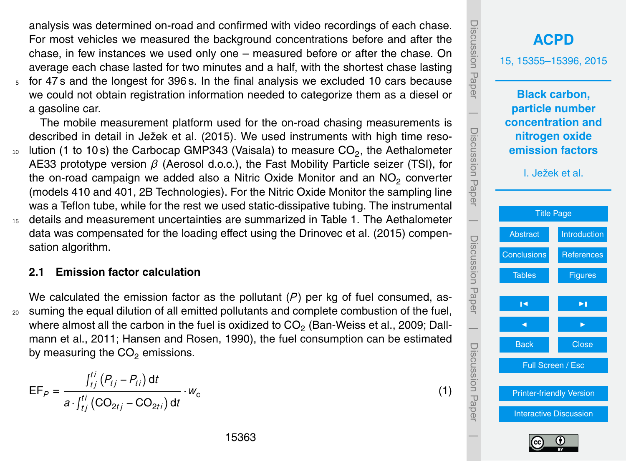analysis was determined on-road and confirmed with video recordings of each chase. For most vehicles we measured the background concentrations before and after the chase, in few instances we used only one – measured before or after the chase. On average each chase lasted for two minutes and a half, with the shortest chase lasting

<sup>5</sup> for 47 s and the longest for 396 s. In the final analysis we excluded 10 cars because we could not obtain registration information needed to categorize them as a diesel or a gasoline car.

The mobile measurement platform used for the on-road chasing measurements is described in detail in Ježek et al. (2015). We used instruments with high time reso- $_{10}$  lution (1 to 10s) the Carbocap GMP343 (Vaisala) to measure CO<sub>2</sub>, the Aethalometer AE33 prototype version *β* (Aerosol d.o.o.), the Fast Mobility Particle seizer (TSI), for the on-road campaign we added also a Nitric Oxide Monitor and an NO<sub>2</sub> converter (models 410 and 401, 2B Technologies). For the Nitric Oxide Monitor the sampling line was a Teflon tube, while for the rest we used static-dissipative tubing. The instrumental <sup>15</sup> details and measurement uncertainties are summarized in Table 1. The Aethalometer data was compensated for the loading effect using the Drinovec et al. (2015) compensation algorithm.

#### **2.1 Emission factor calculation**

We calculated the emission factor as the pollutant  $(P)$  per kg of fuel consumed, as-<sup>20</sup> suming the equal dilution of all emitted pollutants and complete combustion of the fuel, where almost all the carbon in the fuel is oxidized to CO $_2$  (Ban-Weiss et al., 2009; Dallmann et al., 2011; Hansen and Rosen, 1990), the fuel consumption can be estimated by measuring the  $CO<sub>2</sub>$  emissions.

$$
EF_{P} = \frac{\int_{tj}^{tj} (P_{tj} - P_{ti}) dt}{a \cdot \int_{tj}^{tj} (CO_{2tj} - CO_{2ti}) dt} \cdot w_{c}
$$



(1)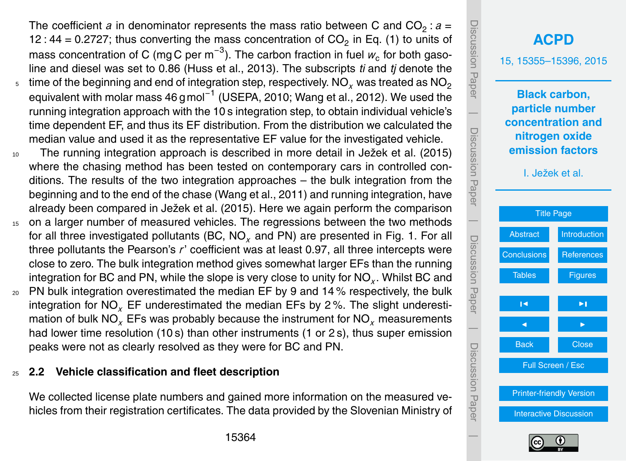<span id="page-9-0"></span>The coefficient  $a$  in denominator represents the mass ratio between C and  $CO_2$ :  $a$  = 12 : 44 = 0.2727; thus converting the mass concentration of  $CO_2$  in Eq. (1) to units of mass concentration of C (mg C per m<sup>−3</sup>). The carbon fraction in fuel  $w_{\rm c}$  for both gasoline and diesel was set to 0.86 (Huss et al., 2013). The subscripts *ti* and *tj* denote the time of the beginning and end of integration step, respectively.  $NO<sub>x</sub>$  was treated as  $NO<sub>2</sub>$ equivalent with molar mass 46 g mol<sup>−1</sup> (USEPA, 2010; Wang et al., 2012). We used the

- running integration approach with the 10 s integration step, to obtain individual vehicle's time dependent EF, and thus its EF distribution. From the distribution we calculated the median value and used it as the representative EF value for the investigated vehicle.
- <sup>10</sup> The running integration approach is described in more detail in Ježek et al. (2015) where the chasing method has been tested on contemporary cars in controlled conditions. The results of the two integration approaches – the bulk integration from the beginning and to the end of the chase (Wang et al., 2011) and running integration, have already been compared in Ježek et al. (2015). Here we again perform the comparison
- <sup>15</sup> on a larger number of measured vehicles. The regressions between the two methods for all three investigated pollutants (BC, NO*<sup>x</sup>* and PN) are presented in Fig. 1. For all three pollutants the Pearson's *r*' coefficient was at least 0.97, all three intercepts were close to zero. The bulk integration method gives somewhat larger EFs than the running integration for BC and PN, while the slope is very close to unity for NO*<sup>x</sup>* . Whilst BC and
- $20$  PN bulk integration overestimated the median EF by 9 and 14% respectively, the bulk integration for NO*<sup>x</sup>* EF underestimated the median EFs by 2 %. The slight underestimation of bulk NO*<sup>x</sup>* EFs was probably because the instrument for NO*<sup>x</sup>* measurements had lower time resolution (10 s) than other instruments (1 or 2 s), thus super emission peaks were not as clearly resolved as they were for BC and PN.

# <sup>25</sup> **2.2 Vehicle classification and fleet description**

5

We collected license plate numbers and gained more information on the measured vehicles from their registration certificates. The data provided by the Slovenian Ministry of

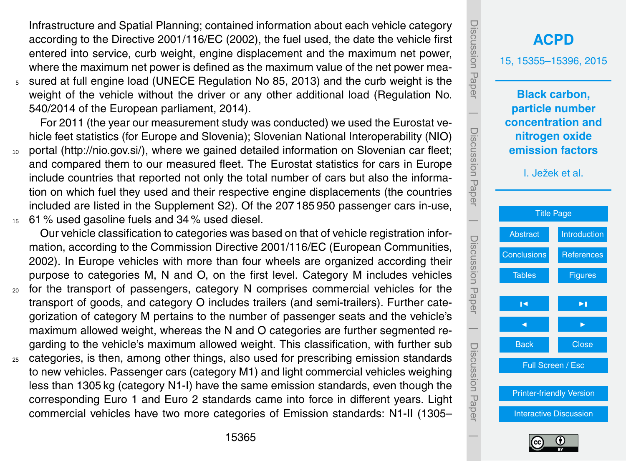Infrastructure and Spatial Planning; contained information about each vehicle category according to the Directive 2001/116/EC (2002), the fuel used, the date the vehicle first entered into service, curb weight, engine displacement and the maximum net power, where the maximum net power is defined as the maximum value of the net power mea-

<sup>5</sup> sured at full engine load (UNECE Regulation No 85, 2013) and the curb weight is the weight of the vehicle without the driver or any other additional load (Regulation No. 540/2014 of the European parliament, 2014).

For 2011 (the year our measurement study was conducted) we used the Eurostat vehicle feet statistics (for Europe and Slovenia); Slovenian National Interoperability (NIO)

- <sup>10</sup> portal [\(http://nio.gov.si/\)](http://nio.gov.si/), where we gained detailed information on Slovenian car fleet; and compared them to our measured fleet. The Eurostat statistics for cars in Europe include countries that reported not only the total number of cars but also the information on which fuel they used and their respective engine displacements (the countries included are listed in the Supplement S2). Of the 207 185 950 passenger cars in-use,
- <sup>15</sup> 61 % used gasoline fuels and 34 % used diesel.

Our vehicle classification to categories was based on that of vehicle registration information, according to the Commission Directive 2001/116/EC (European Communities, 2002). In Europe vehicles with more than four wheels are organized according their purpose to categories M, N and O, on the first level. Category M includes vehicles

- <sub>20</sub> for the transport of passengers, category N comprises commercial vehicles for the transport of goods, and category O includes trailers (and semi-trailers). Further categorization of category M pertains to the number of passenger seats and the vehicle's maximum allowed weight, whereas the N and O categories are further segmented regarding to the vehicle's maximum allowed weight. This classification, with further sub
- <sub>25</sub> categories, is then, among other things, also used for prescribing emission standards to new vehicles. Passenger cars (category M1) and light commercial vehicles weighing less than 1305 kg (category N1-I) have the same emission standards, even though the corresponding Euro 1 and Euro 2 standards came into force in different years. Light commercial vehicles have two more categories of Emission standards: N1-II (1305–

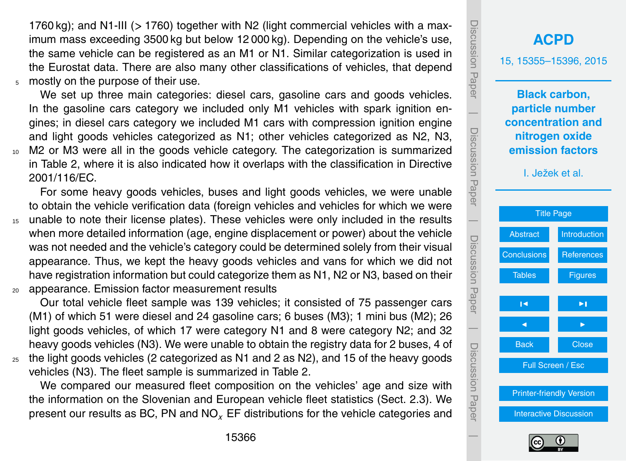1760 kg); and N1-III (*>* 1760) together with N2 (light commercial vehicles with a maximum mass exceeding 3500 kg but below 12 000 kg). Depending on the vehicle's use, the same vehicle can be registered as an M1 or N1. Similar categorization is used in the Eurostat data. There are also many other classifications of vehicles, that depend <sup>5</sup> mostly on the purpose of their use.

We set up three main categories: diesel cars, gasoline cars and goods vehicles. In the gasoline cars category we included only M1 vehicles with spark ignition engines; in diesel cars category we included M1 cars with compression ignition engine and light goods vehicles categorized as N1; other vehicles categorized as N2, N3, <sup>10</sup> M2 or M3 were all in the goods vehicle category. The categorization is summarized in Table 2, where it is also indicated how it overlaps with the classification in Directive 2001/116/EC.

For some heavy goods vehicles, buses and light goods vehicles, we were unable to obtain the vehicle verification data (foreign vehicles and vehicles for which we were <sup>15</sup> unable to note their license plates). These vehicles were only included in the results when more detailed information (age, engine displacement or power) about the vehicle was not needed and the vehicle's category could be determined solely from their visual appearance. Thus, we kept the heavy goods vehicles and vans for which we did not have registration information but could categorize them as N1, N2 or N3, based on their <sup>20</sup> appearance. Emission factor measurement results

Our total vehicle fleet sample was 139 vehicles; it consisted of 75 passenger cars (M1) of which 51 were diesel and 24 gasoline cars; 6 buses (M3); 1 mini bus (M2); 26 light goods vehicles, of which 17 were category N1 and 8 were category N2; and 32 heavy goods vehicles (N3). We were unable to obtain the registry data for 2 buses, 4 of  $25$  the light goods vehicles (2 categorized as N1 and 2 as N2), and 15 of the heavy goods

vehicles (N3). The fleet sample is summarized in Table 2.

We compared our measured fleet composition on the vehicles' age and size with the information on the Slovenian and European vehicle fleet statistics (Sect. [2.3\)](#page-12-0). We present our results as BC, PN and NO*<sup>x</sup>* EF distributions for the vehicle categories and

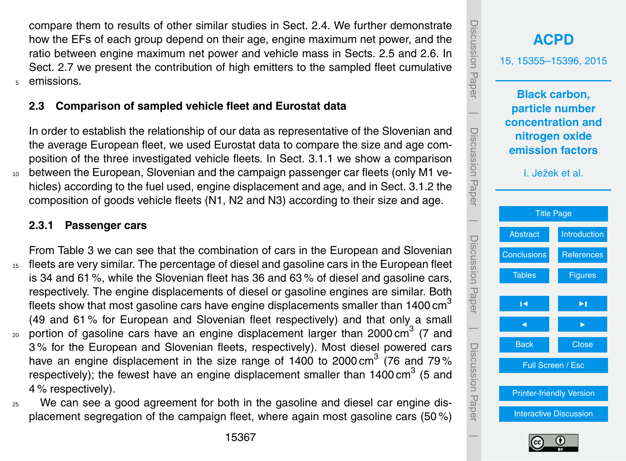<span id="page-12-0"></span>compare them to results of other similar studies in Sect. 2.4. We further demonstrate how the EFs of each group depend on their age, engine maximum net power, and the ratio between engine maximum net power and vehicle mass in Sects. 2.5 and 2.6. In Sect. 2.7 we present the contribution of high emitters to the sampled fleet cumulative <sup>5</sup> emissions.

# **2.3 Comparison of sampled vehicle fleet and Eurostat data**

In order to establish the relationship of our data as representative of the Slovenian and the average European fleet, we used Eurostat data to compare the size and age composition of the three investigated vehicle fleets. In Sect. 3.1.1 we show a comparison between the European, Slovenian and the campaign passenger car fleets (only M1 vehicles) according to the fuel used, engine displacement and age, and in Sect. 3.1.2 the composition of goods vehicle fleets (N1, N2 and N3) according to their size and age.

# **2.3.1 Passenger cars**

From Table 3 we can see that the combination of cars in the European and Slovenian <sup>15</sup> fleets are very similar. The percentage of diesel and gasoline cars in the European fleet is 34 and 61 %, while the Slovenian fleet has 36 and 63 % of diesel and gasoline cars, respectively. The engine displacements of diesel or gasoline engines are similar. Both fleets show that most gasoline cars have engine displacements smaller than 1400 cm<sup>3</sup> (49 and 61 % for European and Slovenian fleet respectively) and that only a small  $_{20}$  portion of gasoline cars have an engine displacement larger than 2000 cm<sup>3</sup> (7 and 3 % for the European and Slovenian fleets, respectively). Most diesel powered cars

- have an engine displacement in the size range of 1400 to 2000 cm<sup>3</sup> (76 and 79% respectively); the fewest have an engine displacement smaller than 1400 cm<sup>3</sup> (5 and 4 % respectively).
- <sup>25</sup> We can see a good agreement for both in the gasoline and diesel car engine displacement segregation of the campaign fleet, where again most gasoline cars (50 %)

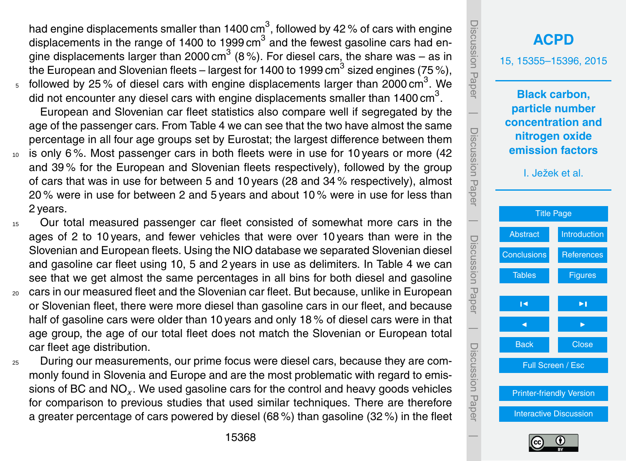had engine displacements smaller than 1400 cm $^3$ , followed by 42 % of cars with engine displacements in the range of 1400 to 1999 cm<sup>3</sup> and the fewest gasoline cars had engine displacements larger than 2000 cm $^3$  (8%). For diesel cars, the share was – as in the European and Slovenian fleets – largest for 1400 to 1999 cm $^3$  sized engines (75 %),  $_5$  followed by 25% of diesel cars with engine displacements larger than 2000 cm<sup>3</sup>. We

did not encounter any diesel cars with engine displacements smaller than 1400 cm<sup>3</sup>.

European and Slovenian car fleet statistics also compare well if segregated by the age of the passenger cars. From Table 4 we can see that the two have almost the same percentage in all four age groups set by Eurostat; the largest difference between them

- 10 is only 6%. Most passenger cars in both fleets were in use for 10 years or more (42 and 39 % for the European and Slovenian fleets respectively), followed by the group of cars that was in use for between 5 and 10 years (28 and 34 % respectively), almost 20 % were in use for between 2 and 5 years and about 10 % were in use for less than 2 years.
- <sup>15</sup> Our total measured passenger car fleet consisted of somewhat more cars in the ages of 2 to 10 years, and fewer vehicles that were over 10 years than were in the Slovenian and European fleets. Using the NIO database we separated Slovenian diesel and gasoline car fleet using 10, 5 and 2 years in use as delimiters. In Table 4 we can see that we get almost the same percentages in all bins for both diesel and gasoline
- <sup>20</sup> cars in our measured fleet and the Slovenian car fleet. But because, unlike in European or Slovenian fleet, there were more diesel than gasoline cars in our fleet, and because half of gasoline cars were older than 10 years and only 18 % of diesel cars were in that age group, the age of our total fleet does not match the Slovenian or European total car fleet age distribution.
- <sup>25</sup> During our measurements, our prime focus were diesel cars, because they are commonly found in Slovenia and Europe and are the most problematic with regard to emissions of BC and NO*<sup>x</sup>* . We used gasoline cars for the control and heavy goods vehicles for comparison to previous studies that used similar techniques. There are therefore a greater percentage of cars powered by diesel (68 %) than gasoline (32 %) in the fleet

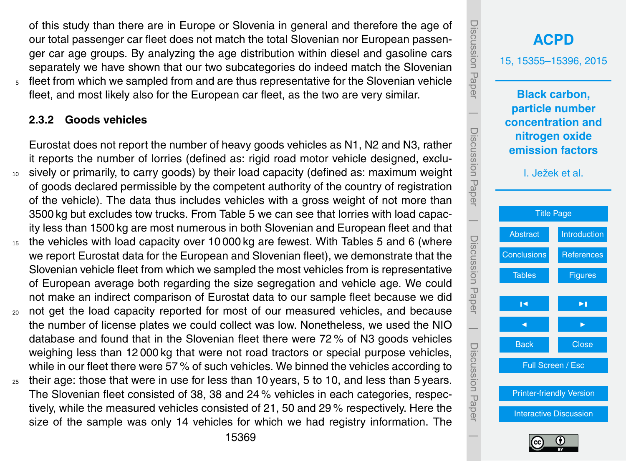of this study than there are in Europe or Slovenia in general and therefore the age of our total passenger car fleet does not match the total Slovenian nor European passenger car age groups. By analyzing the age distribution within diesel and gasoline cars separately we have shown that our two subcategories do indeed match the Slovenian fleet from which we sampled from and are thus representative for the Slovenian vehicle fleet, and most likely also for the European car fleet, as the two are very similar.

#### **2.3.2 Goods vehicles**

Eurostat does not report the number of heavy goods vehicles as N1, N2 and N3, rather it reports the number of lorries (defined as: rigid road motor vehicle designed, exclusively or primarily, to carry goods) by their load capacity (defined as: maximum weight of goods declared permissible by the competent authority of the country of registration of the vehicle). The data thus includes vehicles with a gross weight of not more than 3500 kg but excludes tow trucks. From Table 5 we can see that lorries with load capacity less than 1500 kg are most numerous in both Slovenian and European fleet and that

- <sup>15</sup> the vehicles with load capacity over 10 000 kg are fewest. With Tables 5 and 6 (where we report Eurostat data for the European and Slovenian fleet), we demonstrate that the Slovenian vehicle fleet from which we sampled the most vehicles from is representative of European average both regarding the size segregation and vehicle age. We could not make an indirect comparison of Eurostat data to our sample fleet because we did
- <sup>20</sup> not get the load capacity reported for most of our measured vehicles, and because the number of license plates we could collect was low. Nonetheless, we used the NIO database and found that in the Slovenian fleet there were 72 % of N3 goods vehicles weighing less than 12 000 kg that were not road tractors or special purpose vehicles, while in our fleet there were 57 % of such vehicles. We binned the vehicles according to
- $_{25}$  their age: those that were in use for less than 10 years, 5 to 10, and less than 5 years. The Slovenian fleet consisted of 38, 38 and 24 % vehicles in each categories, respectively, while the measured vehicles consisted of 21, 50 and 29 % respectively. Here the size of the sample was only 14 vehicles for which we had registry information. The



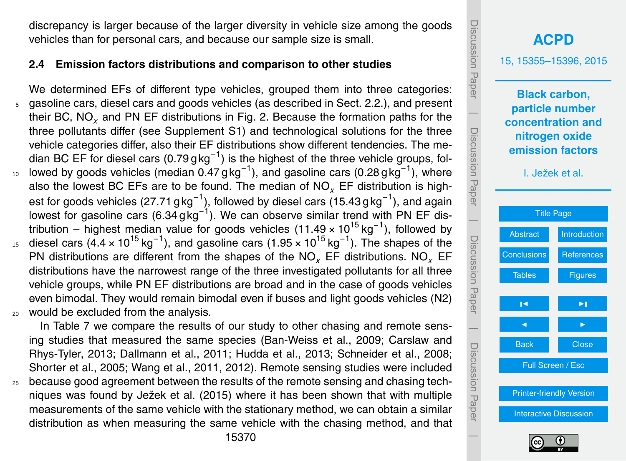discrepancy is larger because of the larger diversity in vehicle size among the goods vehicles than for personal cars, and because our sample size is small.

#### **2.4 Emission factors distributions and comparison to other studies**

We determined EFs of different type vehicles, grouped them into three categories: <sup>5</sup> gasoline cars, diesel cars and goods vehicles (as described in Sect. [2.2.](#page-9-0)), and present their BC, NO*<sup>x</sup>* and PN EF distributions in Fig. 2. Because the formation paths for the three pollutants differ (see Supplement S1) and technological solutions for the three vehicle categories differ, also their EF distributions show different tendencies. The median BC EF for diesel cars (0.79 g kg<sup>-1</sup>) is the highest of the three vehicle groups, fol-<sup>10</sup> lowed by goods vehicles (median 0.47 gkg<sup>-1</sup>), and gasoline cars (0.28 gkg<sup>-1</sup>), where also the lowest BC EFs are to be found. The median of NO*<sup>x</sup>* EF distribution is highest for goods vehicles (27.71 g $\text{kg}^{-1}$ ), followed by diesel cars (15.43 g $\text{kg}^{-1}$ ), and again lowest for gasoline cars (6.34 g kg<sup>-1</sup>). We can observe similar trend with PN EF distribution – highest median value for goods vehicles (11.49 × 10<sup>15</sup> kg<sup>-1</sup>), followed by <sup>15</sup> diesel cars (4.4 × 10<sup>15</sup> kg<sup>-1</sup>), and gasoline cars (1.95 × 10<sup>15</sup> kg<sup>-1</sup>). The shapes of the PN distributions are different from the shapes of the NO*<sup>x</sup>* EF distributions. NO*<sup>x</sup>* EF distributions have the narrowest range of the three investigated pollutants for all three vehicle groups, while PN EF distributions are broad and in the case of goods vehicles even bimodal. They would remain bimodal even if buses and light goods vehicles (N2) would be excluded from the analysis.

In Table 7 we compare the results of our study to other chasing and remote sensing studies that measured the same species (Ban-Weiss et al., 2009; Carslaw and Rhys-Tyler, 2013; Dallmann et al., 2011; Hudda et al., 2013; Schneider et al., 2008; Shorter et al., 2005; Wang et al., 2011, 2012). Remote sensing studies were included

<sup>25</sup> because good agreement between the results of the remote sensing and chasing techniques was found by Ježek et al. (2015) where it has been shown that with multiple measurements of the same vehicle with the stationary method, we can obtain a similar distribution as when measuring the same vehicle with the chasing method, and that



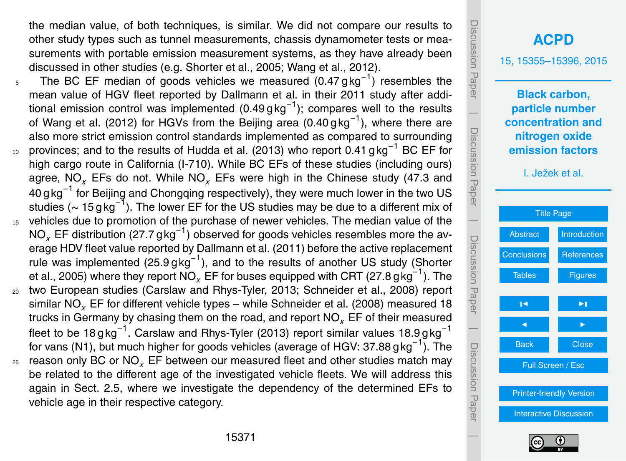the median value, of both techniques, is similar. We did not compare our results to other study types such as tunnel measurements, chassis dynamometer tests or measurements with portable emission measurement systems, as they have already been discussed in other studies (e.g. Shorter et al., 2005; Wang et al., 2012).

- 5 The BC EF median of goods vehicles we measured  $(0.47 \text{ g kg}^{-1})$  resembles the mean value of HGV fleet reported by Dallmann et al. in their 2011 study after additional emission control was implemented (0.49 g kg<sup>-1</sup>); compares well to the results of Wang et al. (2012) for HGVs from the Beijing area (0.40 gkg<sup>-1</sup>), where there are also more strict emission control standards implemented as compared to surrounding <sub>10</sub> provinces; and to the results of Hudda et al. (2013) who report 0.41 gkg<sup>-1</sup> BC EF for high cargo route in California (I-710). While BC EFs of these studies (including ours) agree, NO*<sup>x</sup>* EFs do not. While NO*<sup>x</sup>* EFs were high in the Chinese study (47.3 and 40 g kg<sup>−1</sup> for Beijing and Chongqing respectively), they were much lower in the two US studies ( $\sim 15\, \text{g}\, \text{kg}^{-1}$ ). The lower EF for the US studies may be due to a different mix of <sup>15</sup> vehicles due to promotion of the purchase of newer vehicles. The median value of the NO<sub>x</sub> EF distribution (27.7 g kg<sup>−1</sup>) observed for goods vehicles resembles more the average HDV fleet value reported by Dallmann et al. (2011) before the active replacement rule was implemented (25.9 g kg<sup>-1</sup>), and to the results of another US study (Shorter et al., 2005) where they report  $\overline{\mathsf{NO}_{\chi}}$  EF for buses equipped with CRT (27.8 g $\mathsf{kg}^{-1}$ ). The <sup>20</sup> two European studies (Carslaw and Rhys-Tyler, 2013; Schneider et al., 2008) report similar NO*<sup>x</sup>* EF for different vehicle types – while Schneider et al. (2008) measured 18
- trucks in Germany by chasing them on the road, and report NO*<sup>x</sup>* EF of their measured fleet to be 18 $\rm g$ kg $^{-1}$ . Carslaw and Rhys-Tyler (2013) report similar values 18.9 $\rm g$ kg $^{-1}$ for vans (N1), but much higher for goods vehicles (average of HGV: 37.88 gkg<sup>-1</sup>). The <sup>25</sup> reason only BC or NO*<sup>x</sup>* EF between our measured fleet and other studies match may
- be related to the different age of the investigated vehicle fleets. We will address this again in Sect. [2.5,](#page-18-0) where we investigate the dependency of the determined EFs to vehicle age in their respective category.



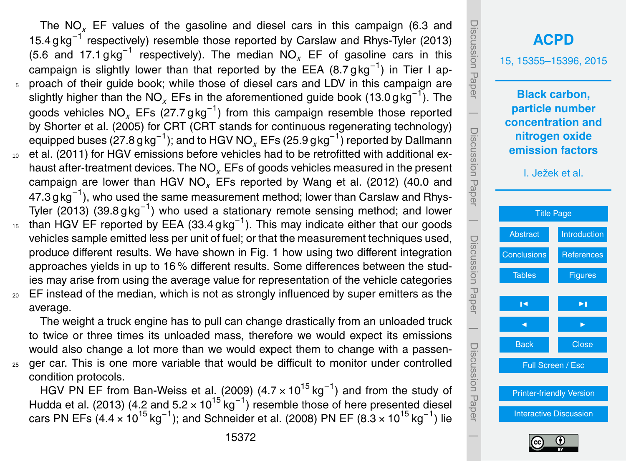The NO*<sup>x</sup>* EF values of the gasoline and diesel cars in this campaign (6.3 and 15.4 gkg<sup>-1</sup> respectively) resemble those reported by Carslaw and Rhys-Tyler (2013) (5.6 and 17.1 gkg<sup>-1</sup> respectively). The median  $NO_x$  EF of gasoline cars in this campaign is slightly lower than that reported by the EEA (8.7 g kg<sup>-1</sup>) in Tier I ap-<sup>5</sup> proach of their guide book; while those of diesel cars and LDV in this campaign are slightly higher than the NO<sub>x</sub> EFs in the aforementioned guide book (13.0 gkg<sup>−1</sup>). The goods vehicles NO<sub>x</sub> EFs (27.7 gkg<sup>-1</sup>) from this campaign resemble those reported by Shorter et al. (2005) for CRT (CRT stands for continuous regenerating technology) equipped buses (27.8 $\rm g$ kg<sup>−1</sup>); and to HGV NO<sub>x</sub> EFs (25.9 $\rm g$ kg<sup>−1</sup>) reported by Dallmann et al. (2011) for HGV emissions before vehicles had to be retrofitted with additional exhaust after-treatment devices. The NO*<sup>x</sup>* EFs of goods vehicles measured in the present campaign are lower than HGV NO*<sup>x</sup>* EFs reported by Wang et al. (2012) (40.0 and 47.3 $\rm g$ kg $^{-1}$ ), who used the same measurement method; lower than Carslaw and Rhys-Tyler (2013) (39.8 g kg<sup>-1</sup>) who used a stationary remote sensing method; and lower  $15$  than HGV EF reported by EEA (33.4 g kg<sup>-1</sup>). This may indicate either that our goods vehicles sample emitted less per unit of fuel; or that the measurement techniques used, produce different results. We have shown in Fig. 1 how using two different integration

approaches yields in up to 16 % different results. Some differences between the studies may arise from using the average value for representation of the vehicle categories

<sub>20</sub> EF instead of the median, which is not as strongly influenced by super emitters as the average.

The weight a truck engine has to pull can change drastically from an unloaded truck to twice or three times its unloaded mass, therefore we would expect its emissions would also change a lot more than we would expect them to change with a passen-<sup>25</sup> ger car. This is one more variable that would be difficult to monitor under controlled condition protocols.

HGV PN EF from Ban-Weiss et al. (2009) (4.7 × 10<sup>15</sup> kg<sup>-1</sup>) and from the study of Hudda et al. (2013) (4.2 and 5.2  $\times$  10<sup>15</sup> kg<sup>-1</sup>) resemble those of here presented diesel cars PN EFs (4.4 × 10<sup>15</sup> kg<sup>-1</sup>); and Schneider et al. (2008) PN EF (8.3 × 10<sup>15</sup> kg<sup>-1</sup>) lie



Discussion Paper

 $\overline{\phantom{a}}$ 

Discussion Paper

Discussion Paper

 $\overline{\phantom{a}}$ 

Discussion Paper

Discussion Paper

 $\overline{\phantom{a}}$ 

Discussion Paper

 $\overline{\phantom{a}}$ 

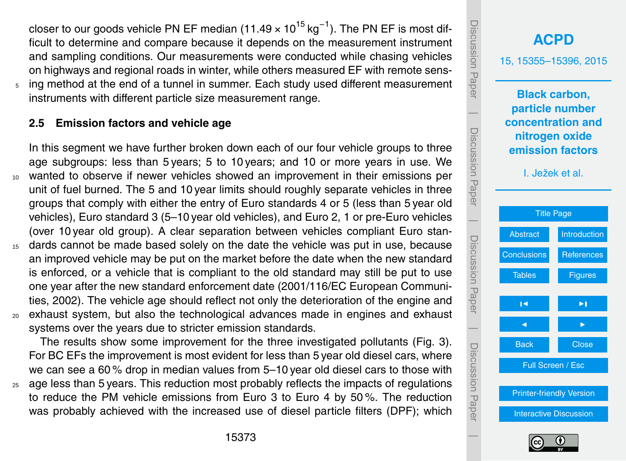<span id="page-18-0"></span>closer to our goods vehicle PN EF median (11.49 × 10<sup>15</sup> kg<sup>−1</sup>). The PN EF is most difficult to determine and compare because it depends on the measurement instrument and sampling conditions. Our measurements were conducted while chasing vehicles on highways and regional roads in winter, while others measured EF with remote sensing method at the end of a tunnel in summer. Each study used different measurement instruments with different particle size measurement range.

#### **2.5 Emission factors and vehicle age**

In this segment we have further broken down each of our four vehicle groups to three age subgroups: less than 5 years; 5 to 10 years; and 10 or more years in use. We wanted to observe if newer vehicles showed an improvement in their emissions per unit of fuel burned. The 5 and 10 year limits should roughly separate vehicles in three groups that comply with either the entry of Euro standards 4 or 5 (less than 5 year old vehicles), Euro standard 3 (5–10 year old vehicles), and Euro 2, 1 or pre-Euro vehicles (over 10 year old group). A clear separation between vehicles compliant Euro stan-<sup>15</sup> dards cannot be made based solely on the date the vehicle was put in use, because an improved vehicle may be put on the market before the date when the new standard is enforced, or a vehicle that is compliant to the old standard may still be put to use one year after the new standard enforcement date (2001/116/EC European Communities, 2002). The vehicle age should reflect not only the deterioration of the engine and

<sup>20</sup> exhaust system, but also the technological advances made in engines and exhaust systems over the years due to stricter emission standards.

The results show some improvement for the three investigated pollutants (Fig. 3). For BC EFs the improvement is most evident for less than 5 year old diesel cars, where we can see a 60 % drop in median values from 5–10 year old diesel cars to those with

<sup>25</sup> age less than 5 years. This reduction most probably reflects the impacts of regulations to reduce the PM vehicle emissions from Euro 3 to Euro 4 by 50 %. The reduction was probably achieved with the increased use of diesel particle filters (DPF); which



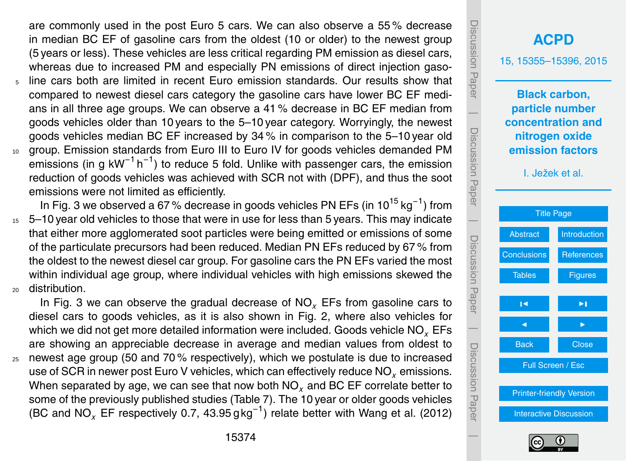are commonly used in the post Euro 5 cars. We can also observe a 55 % decrease in median BC EF of gasoline cars from the oldest (10 or older) to the newest group (5 years or less). These vehicles are less critical regarding PM emission as diesel cars, whereas due to increased PM and especially PN emissions of direct injection gaso-

- <sup>5</sup> line cars both are limited in recent Euro emission standards. Our results show that compared to newest diesel cars category the gasoline cars have lower BC EF medians in all three age groups. We can observe a 41 % decrease in BC EF median from goods vehicles older than 10 years to the 5–10 year category. Worryingly, the newest goods vehicles median BC EF increased by 34 % in comparison to the 5–10 year old <sup>10</sup> group. Emission standards from Euro III to Euro IV for goods vehicles demanded PM
- emissions (in g kW<sup>-1</sup> h<sup>-1</sup>) to reduce 5 fold. Unlike with passenger cars, the emission reduction of goods vehicles was achieved with SCR not with (DPF), and thus the soot emissions were not limited as efficiently.
- In Fig. 3 we observed a 67% decrease in goods vehicles PN EFs (in 10<sup>15</sup> kg<sup>-1</sup>) from <sup>15</sup> 5–10 year old vehicles to those that were in use for less than 5 years. This may indicate that either more agglomerated soot particles were being emitted or emissions of some of the particulate precursors had been reduced. Median PN EFs reduced by 67 % from the oldest to the newest diesel car group. For gasoline cars the PN EFs varied the most within individual age group, where individual vehicles with high emissions skewed the <sup>20</sup> distribution.

In Fig. 3 we can observe the gradual decrease of NO*<sup>x</sup>* EFs from gasoline cars to diesel cars to goods vehicles, as it is also shown in Fig. 2, where also vehicles for which we did not get more detailed information were included. Goods vehicle NO*<sup>x</sup>* EFs are showing an appreciable decrease in average and median values from oldest to  $25$  newest age group (50 and 70% respectively), which we postulate is due to increased use of SCR in newer post Euro V vehicles, which can effectively reduce NO*<sup>x</sup>* emissions. When separated by age, we can see that now both NO<sub>x</sub> and BC EF correlate better to some of the previously published studies (Table 7). The 10 year or older goods vehicles (BC and NO*<sup>x</sup>* EF respectively 0.7, 43.95 g kg−<sup>1</sup> ) relate better with Wang et al. (2012)

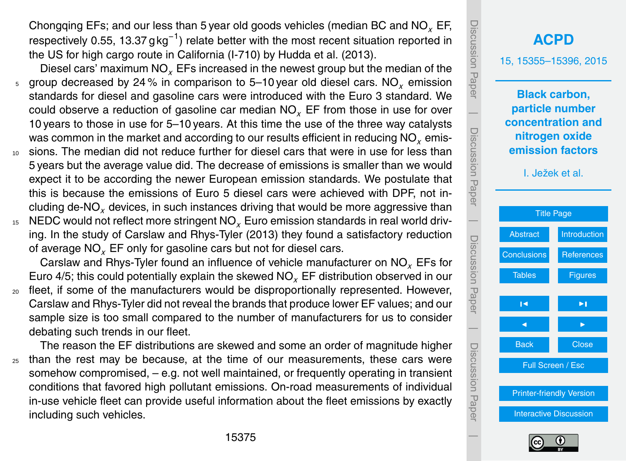Chongqing EFs; and our less than 5 year old goods vehicles (median BC and NO*<sup>x</sup>* EF, respectively 0.55, 13.37 g kg<sup>-1</sup>) relate better with the most recent situation reported in the US for high cargo route in California (I-710) by Hudda et al. (2013).

- Diesel cars' maximum NO*<sup>x</sup>* EFs increased in the newest group but the median of the <sup>5</sup> group decreased by 24 % in comparison to 5–10 year old diesel cars. NO*<sup>x</sup>* emission standards for diesel and gasoline cars were introduced with the Euro 3 standard. We could observe a reduction of gasoline car median NO*<sup>x</sup>* EF from those in use for over 10 years to those in use for 5–10 years. At this time the use of the three way catalysts was common in the market and according to our results efficient in reducing NO<sub>y</sub> emis-
- sions. The median did not reduce further for diesel cars that were in use for less than 5 years but the average value did. The decrease of emissions is smaller than we would expect it to be according the newer European emission standards. We postulate that this is because the emissions of Euro 5 diesel cars were achieved with DPF, not including de-NO*<sup>x</sup>* devices, in such instances driving that would be more aggressive than
- <sup>15</sup> NEDC would not reflect more stringent NO*<sup>x</sup>* Euro emission standards in real world driving. In the study of Carslaw and Rhys-Tyler (2013) they found a satisfactory reduction of average NO*<sup>x</sup>* EF only for gasoline cars but not for diesel cars.

Carslaw and Rhys-Tyler found an influence of vehicle manufacturer on NO*<sup>x</sup>* EFs for Euro 4/5; this could potentially explain the skewed NO*<sup>x</sup>* EF distribution observed in our

<sub>20</sub> fleet, if some of the manufacturers would be disproportionally represented. However, Carslaw and Rhys-Tyler did not reveal the brands that produce lower EF values; and our sample size is too small compared to the number of manufacturers for us to consider debating such trends in our fleet.

The reason the EF distributions are skewed and some an order of magnitude higher <sup>25</sup> than the rest may be because, at the time of our measurements, these cars were somehow compromised,  $-$  e.g. not well maintained, or frequently operating in transient conditions that favored high pollutant emissions. On-road measurements of individual in-use vehicle fleet can provide useful information about the fleet emissions by exactly including such vehicles.

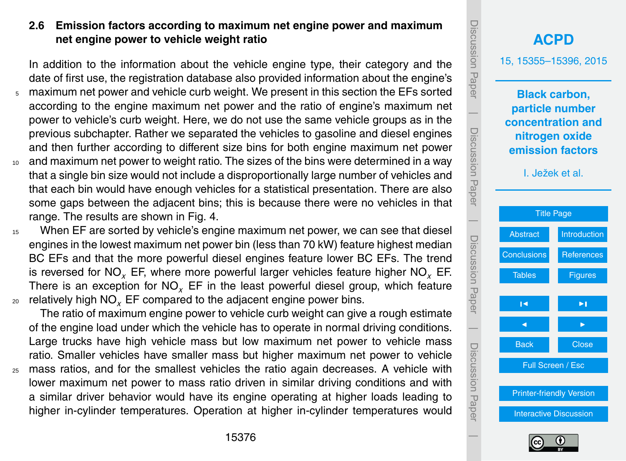#### **2.6 Emission factors according to maximum net engine power and maximum net engine power to vehicle weight ratio**

In addition to the information about the vehicle engine type, their category and the date of first use, the registration database also provided information about the engine's

- <sup>5</sup> maximum net power and vehicle curb weight. We present in this section the EFs sorted according to the engine maximum net power and the ratio of engine's maximum net power to vehicle's curb weight. Here, we do not use the same vehicle groups as in the previous subchapter. Rather we separated the vehicles to gasoline and diesel engines and then further according to different size bins for both engine maximum net power
- <sup>10</sup> and maximum net power to weight ratio. The sizes of the bins were determined in a way that a single bin size would not include a disproportionally large number of vehicles and that each bin would have enough vehicles for a statistical presentation. There are also some gaps between the adjacent bins; this is because there were no vehicles in that range. The results are shown in Fig. 4.
- <sup>15</sup> When EF are sorted by vehicle's engine maximum net power, we can see that diesel engines in the lowest maximum net power bin (less than 70 kW) feature highest median BC EFs and that the more powerful diesel engines feature lower BC EFs. The trend is reversed for NO*<sup>x</sup>* EF, where more powerful larger vehicles feature higher NO*<sup>x</sup>* EF. There is an exception for NO*<sup>x</sup>* EF in the least powerful diesel group, which feature <sup>20</sup> relatively high NO*<sup>x</sup>* EF compared to the adjacent engine power bins.

The ratio of maximum engine power to vehicle curb weight can give a rough estimate of the engine load under which the vehicle has to operate in normal driving conditions. Large trucks have high vehicle mass but low maximum net power to vehicle mass ratio. Smaller vehicles have smaller mass but higher maximum net power to vehicle <sup>25</sup> mass ratios, and for the smallest vehicles the ratio again decreases. A vehicle with lower maximum net power to mass ratio driven in similar driving conditions and with a similar driver behavior would have its engine operating at higher loads leading to higher in-cylinder temperatures. Operation at higher in-cylinder temperatures would



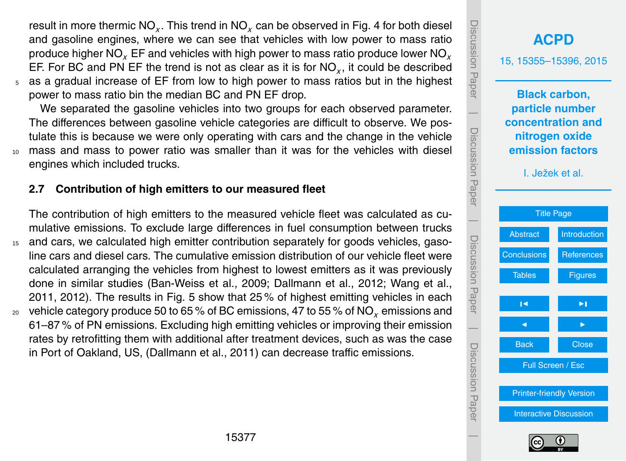result in more thermic NO<sub>x</sub>. This trend in NO<sub>x</sub> can be observed in Fig. 4 for both diesel and gasoline engines, where we can see that vehicles with low power to mass ratio produce higher NO*<sup>x</sup>* EF and vehicles with high power to mass ratio produce lower NO*<sup>x</sup>* EF. For BC and PN EF the trend is not as clear as it is for  $\mathsf{NO}_\chi,$  it could be described <sup>5</sup> as a gradual increase of EF from low to high power to mass ratios but in the highest

power to mass ratio bin the median BC and PN EF drop.

We separated the gasoline vehicles into two groups for each observed parameter. The differences between gasoline vehicle categories are difficult to observe. We postulate this is because we were only operating with cars and the change in the vehicle <sup>10</sup> mass and mass to power ratio was smaller than it was for the vehicles with diesel engines which included trucks.

#### **2.7 Contribution of high emitters to our measured fleet**

The contribution of high emitters to the measured vehicle fleet was calculated as cumulative emissions. To exclude large differences in fuel consumption between trucks

<sup>15</sup> and cars, we calculated high emitter contribution separately for goods vehicles, gasoline cars and diesel cars. The cumulative emission distribution of our vehicle fleet were calculated arranging the vehicles from highest to lowest emitters as it was previously done in similar studies (Ban-Weiss et al., 2009; Dallmann et al., 2012; Wang et al., 2011, 2012). The results in Fig. 5 show that 25 % of highest emitting vehicles in each <sup>20</sup> vehicle category produce 50 to 65 % of BC emissions, 47 to 55 % of NO*<sup>x</sup>* emissions and 61–87 % of PN emissions. Excluding high emitting vehicles or improving their emission rates by retrofitting them with additional after treatment devices, such as was the case in Port of Oakland, US, (Dallmann et al., 2011) can decrease traffic emissions.

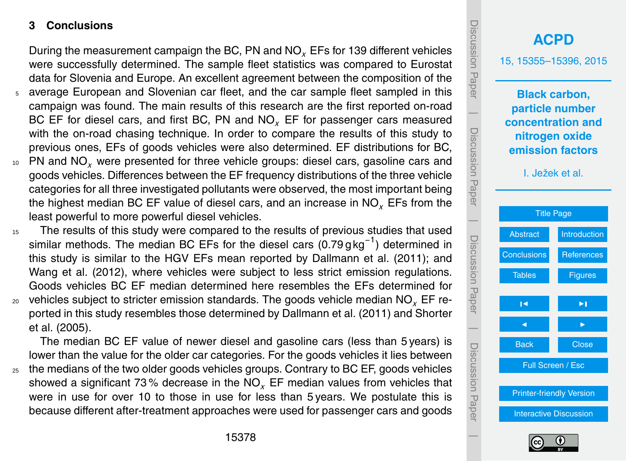#### <span id="page-23-0"></span>**3 Conclusions**

During the measurement campaign the BC, PN and NO*<sup>x</sup>* EFs for 139 different vehicles were successfully determined. The sample fleet statistics was compared to Eurostat data for Slovenia and Europe. An excellent agreement between the composition of the

- average European and Slovenian car fleet, and the car sample fleet sampled in this campaign was found. The main results of this research are the first reported on-road BC EF for diesel cars, and first BC, PN and NO*<sup>x</sup>* EF for passenger cars measured with the on-road chasing technique. In order to compare the results of this study to previous ones, EFs of goods vehicles were also determined. EF distributions for BC,
- <sup>10</sup> PN and NO*<sup>x</sup>* were presented for three vehicle groups: diesel cars, gasoline cars and goods vehicles. Differences between the EF frequency distributions of the three vehicle categories for all three investigated pollutants were observed, the most important being the highest median BC EF value of diesel cars, and an increase in NO*<sup>x</sup>* EFs from the least powerful to more powerful diesel vehicles.
- <sup>15</sup> The results of this study were compared to the results of previous studies that used similar methods. The median BC EFs for the diesel cars  $(0.79 \text{ g kg}^{-1})$  determined in this study is similar to the HGV EFs mean reported by Dallmann et al. (2011); and Wang et al. (2012), where vehicles were subject to less strict emission regulations. Goods vehicles BC EF median determined here resembles the EFs determined for <sup>20</sup> vehicles subject to stricter emission standards. The goods vehicle median NO*<sup>x</sup>* EF reported in this study resembles those determined by Dallmann et al. (2011) and Shorter et al. (2005).

The median BC EF value of newer diesel and gasoline cars (less than 5 years) is lower than the value for the older car categories. For the goods vehicles it lies between  $25$  the medians of the two older goods vehicles groups. Contrary to BC EF, goods vehicles

showed a significant 73 % decrease in the NO*<sup>x</sup>* EF median values from vehicles that were in use for over 10 to those in use for less than 5 years. We postulate this is because different after-treatment approaches were used for passenger cars and goods



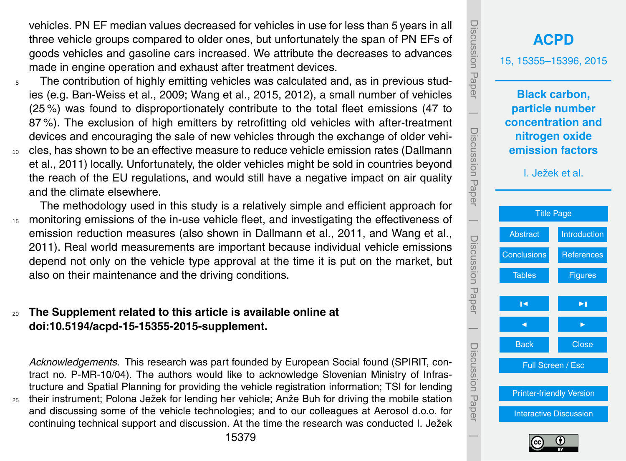vehicles. PN EF median values decreased for vehicles in use for less than 5 years in all three vehicle groups compared to older ones, but unfortunately the span of PN EFs of goods vehicles and gasoline cars increased. We attribute the decreases to advances made in engine operation and exhaust after treatment devices.

- $5$  The contribution of highly emitting vehicles was calculated and, as in previous studies (e.g. Ban-Weiss et al., 2009; Wang et al., 2015, 2012), a small number of vehicles (25 %) was found to disproportionately contribute to the total fleet emissions (47 to 87 %). The exclusion of high emitters by retrofitting old vehicles with after-treatment devices and encouraging the sale of new vehicles through the exchange of older vehi-<sup>10</sup> cles, has shown to be an effective measure to reduce vehicle emission rates (Dallmann et al., 2011) locally. Unfortunately, the older vehicles might be sold in countries beyond the reach of the EU regulations, and would still have a negative impact on air quality and the climate elsewhere.
- The methodology used in this study is a relatively simple and efficient approach for <sup>15</sup> monitoring emissions of the in-use vehicle fleet, and investigating the effectiveness of emission reduction measures (also shown in Dallmann et al., 2011, and Wang et al., 2011). Real world measurements are important because individual vehicle emissions depend not only on the vehicle type approval at the time it is put on the market, but also on their maintenance and the driving conditions.

#### <sup>20</sup> **The Supplement related to this article is available online at [doi:10.5194/acpd-15-15355-2015-supplement.](http://dx.doi.org/10.5194/acpd-15-15355-2015-supplement)**

*Acknowledgements.* This research was part founded by European Social found (SPIRIT, contract no. P-MR-10/04). The authors would like to acknowledge Slovenian Ministry of Infrastructure and Spatial Planning for providing the vehicle registration information; TSI for lending <sup>25</sup> their instrument; Polona Ježek for lending her vehicle; Anže Buh for driving the mobile station and discussing some of the vehicle technologies; and to our colleagues at Aerosol d.o.o. for

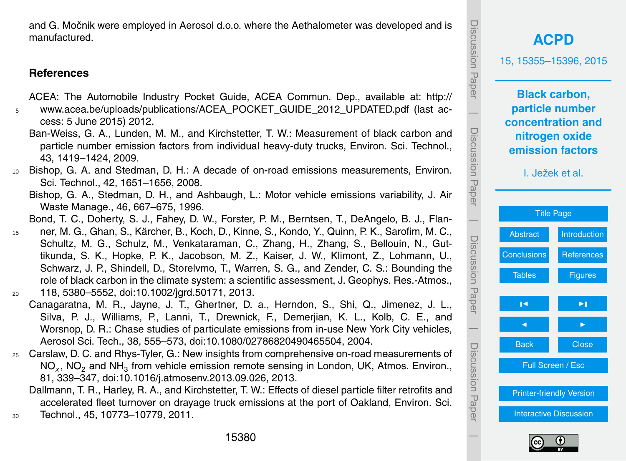<span id="page-25-0"></span>and G. Močnik were employed in Aerosol d.o.o. where the Aethalometer was developed and is manufactured.

#### **References**

[A](http://www.acea.be/uploads/publications/ACEA_POCKET_GUIDE_2012_UPDATED.pdf)CEA: The Automobile Industry Pocket Guide, ACEA Commun. Dep., available at: [http://](http://www.acea.be/uploads/publications/ACEA_POCKET_GUIDE_2012_UPDATED.pdf)

- <sup>5</sup> [www.acea.be/uploads/publications/ACEA\\_POCKET\\_GUIDE\\_2012\\_UPDATED.pdf](http://www.acea.be/uploads/publications/ACEA_POCKET_GUIDE_2012_UPDATED.pdf) (last access: 5 June 2015) 2012.
	- Ban-Weiss, G. A., Lunden, M. M., and Kirchstetter, T. W.: Measurement of black carbon and particle number emission factors from individual heavy-duty trucks, Environ. Sci. Technol., 43, 1419–1424, 2009.
- <sup>10</sup> Bishop, G. A. and Stedman, D. H.: A decade of on-road emissions measurements, Environ. Sci. Technol., 42, 1651–1656, 2008.
	- Bishop, G. A., Stedman, D. H., and Ashbaugh, L.: Motor vehicle emissions variability, J. Air Waste Manage., 46, 667–675, 1996.
	- Bond, T. C., Doherty, S. J., Fahey, D. W., Forster, P. M., Berntsen, T., DeAngelo, B. J., Flan-
- <sup>15</sup> ner, M. G., Ghan, S., Kärcher, B., Koch, D., Kinne, S., Kondo, Y., Quinn, P. K., Sarofim, M. C., Schultz, M. G., Schulz, M., Venkataraman, C., Zhang, H., Zhang, S., Bellouin, N., Guttikunda, S. K., Hopke, P. K., Jacobson, M. Z., Kaiser, J. W., Klimont, Z., Lohmann, U., Schwarz, J. P., Shindell, D., Storelvmo, T., Warren, S. G., and Zender, C. S.: Bounding the role of black carbon in the climate system: a scientific assessment, J. Geophys. Res.-Atmos.,
- <sup>20</sup> 118, 5380–5552, doi[:10.1002/jgrd.50171,](http://dx.doi.org/10.1002/jgrd.50171) 2013.
- Canagaratna, M. R., Jayne, J. T., Ghertner, D. a., Herndon, S., Shi, Q., Jimenez, J. L., Silva, P. J., Williams, P., Lanni, T., Drewnick, F., Demerjian, K. L., Kolb, C. E., and Worsnop, D. R.: Chase studies of particulate emissions from in-use New York City vehicles, Aerosol Sci. Tech., 38, 555–573, doi[:10.1080/02786820490465504,](http://dx.doi.org/10.1080/02786820490465504) 2004.
- <sup>25</sup> Carslaw, D. C. and Rhys-Tyler, G.: New insights from comprehensive on-road measurements of NO<sub>x</sub>, NO<sub>2</sub> and NH<sub>3</sub> from vehicle emission remote sensing in London, UK, Atmos. Environ., 81, 339–347, doi[:10.1016/j.atmosenv.2013.09.026,](http://dx.doi.org/10.1016/j.atmosenv.2013.09.026) 2013.

Dallmann, T. R., Harley, R. A., and Kirchstetter, T. W.: Effects of diesel particle filter retrofits and accelerated fleet turnover on drayage truck emissions at the port of Oakland, Environ. Sci. <sup>30</sup> Technol., 45, 10773–10779, 2011.



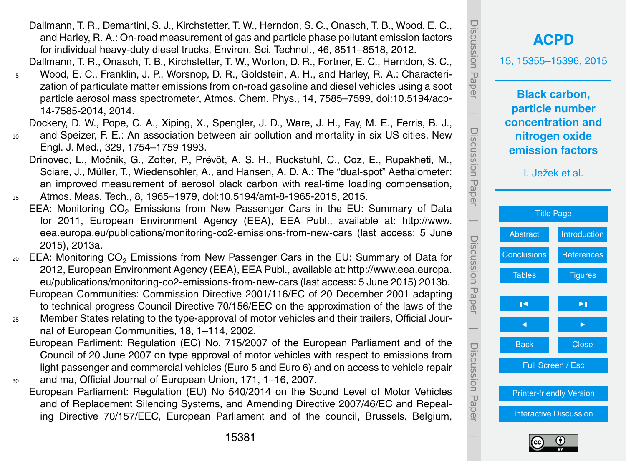- Dallmann, T. R., Demartini, S. J., Kirchstetter, T. W., Herndon, S. C., Onasch, T. B., Wood, E. C., and Harley, R. A.: On-road measurement of gas and particle phase pollutant emission factors for individual heavy-duty diesel trucks, Environ. Sci. Technol., 46, 8511–8518, 2012.
- Dallmann, T. R., Onasch, T. B., Kirchstetter, T. W., Worton, D. R., Fortner, E. C., Herndon, S. C., <sup>5</sup> Wood, E. C., Franklin, J. P., Worsnop, D. R., Goldstein, A. H., and Harley, R. A.: Characterization of particulate matter emissions from on-road gasoline and diesel vehicles using a soot particle aerosol mass spectrometer, Atmos. Chem. Phys., 14, 7585–7599, doi[:10.5194/acp-](http://dx.doi.org/10.5194/acp-14-7585-2014)[14-7585-2014,](http://dx.doi.org/10.5194/acp-14-7585-2014) 2014.

Dockery, D. W., Pope, C. A., Xiping, X., Spengler, J. D., Ware, J. H., Fay, M. E., Ferris, B. J.,

- <sup>10</sup> and Speizer, F. E.: An association between air pollution and mortality in six US cities, New Engl. J. Med., 329, 1754–1759 1993.
- Drinovec, L., Močnik, G., Zotter, P., Prévôt, A. S. H., Ruckstuhl, C., Coz, E., Rupakheti, M., Sciare, J., Müller, T., Wiedensohler, A., and Hansen, A. D. A.: The "dual-spot" Aethalometer: an improved measurement of aerosol black carbon with real-time loading compensation, <sup>15</sup> Atmos. Meas. Tech., 8, 1965–1979, doi[:10.5194/amt-8-1965-2015,](http://dx.doi.org/10.5194/amt-8-1965-2015) 2015.
	- EEA: Monitoring CO<sub>2</sub> Emissions from New Passenger Cars in the EU: Summary of Data for 2011, European Environment Agency (EEA), EEA Publ., available at: [http://www.](http://www.eea.europa.eu/publications/monitoring-co2-emissions-from-new-cars) [eea.europa.eu/publications/monitoring-co2-emissions-from-new-cars](http://www.eea.europa.eu/publications/monitoring-co2-emissions-from-new-cars) (last access: 5 June 2015), 2013a.
- <sub>20</sub> EEA: Monitoring CO<sub>2</sub> Emissions from New Passenger Cars in the EU: Summary of Data for 2012, European Environment Agency (EEA), EEA Publ., available at: [http://www.eea.europa.](http://www.eea.europa.eu/publications/monitoring-co2-emissions-from-new-cars) [eu/publications/monitoring-co2-emissions-from-new-cars](http://www.eea.europa.eu/publications/monitoring-co2-emissions-from-new-cars) (last access: 5 June 2015) 2013b.
	- European Communities: Commission Directive 2001/116/EC of 20 December 2001 adapting to technical progress Council Directive 70/156/EEC on the approximation of the laws of the
- <sup>25</sup> Member States relating to the type-approval of motor vehicles and their trailers, Official Journal of European Communities, 18, 1–114, 2002.
- European Parliment: Regulation (EC) No. 715/2007 of the European Parliament and of the Council of 20 June 2007 on type approval of motor vehicles with respect to emissions from light passenger and commercial vehicles (Euro 5 and Euro 6) and on access to vehicle repair <sup>30</sup> and ma, Official Journal of European Union, 171, 1–16, 2007.
- European Parliament: Regulation (EU) No 540/2014 on the Sound Level of Motor Vehicles and of Replacement Silencing Systems, and Amending Directive 2007/46/EC and Repealing Directive 70/157/EEC, European Parliament and of the council, Brussels, Belgium,



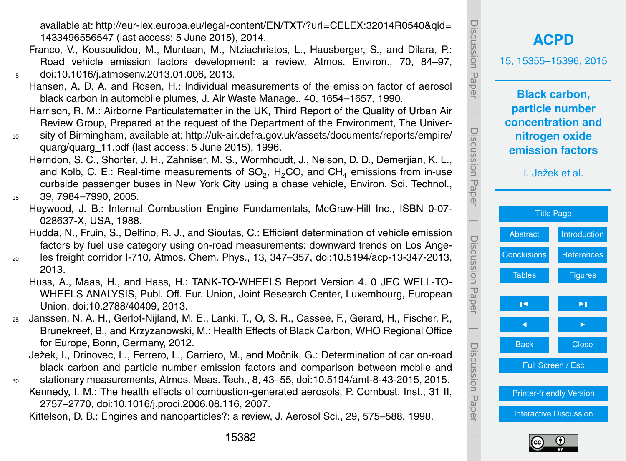available at: [http://eur-lex.europa.eu/legal-content/EN/TXT/?uri](http://eur-lex.europa.eu/legal-content/EN/TXT/?uri=CELEX:32014R0540&qid=1433496556547)=CELEX:32014R0540&qid= [1433496556547](http://eur-lex.europa.eu/legal-content/EN/TXT/?uri=CELEX:32014R0540&qid=1433496556547) (last access: 5 June 2015), 2014.

- Franco, V., Kousoulidou, M., Muntean, M., Ntziachristos, L., Hausberger, S., and Dilara, P.: Road vehicle emission factors development: a review, Atmos. Environ., 70, 84–97, <sup>5</sup> doi[:10.1016/j.atmosenv.2013.01.006,](http://dx.doi.org/10.1016/j.atmosenv.2013.01.006) 2013.
	- Hansen, A. D. A. and Rosen, H.: Individual measurements of the emission factor of aerosol black carbon in automobile plumes, J. Air Waste Manage., 40, 1654–1657, 1990.
	- Harrison, R. M.: Airborne Particulatematter in the UK, Third Report of the Quality of Urban Air Review Group, Prepared at the request of the Department of the Environment, The Univer-
- <sup>10</sup> sity of Birmingham, available at: [http://uk-air.defra.gov.uk/assets/documents/reports/empire/](http://uk-air.defra.gov.uk/assets/documents/reports/empire/quarg/quarg_11.pdf) [quarg/quarg\\_11.pdf](http://uk-air.defra.gov.uk/assets/documents/reports/empire/quarg/quarg_11.pdf) (last access: 5 June 2015), 1996.
	- Herndon, S. C., Shorter, J. H., Zahniser, M. S., Wormhoudt, J., Nelson, D. D., Demerjian, K. L., and Kolb, C. E.: Real-time measurements of SO<sub>2</sub>, H<sub>2</sub>CO, and CH<sub>4</sub> emissions from in-use curbside passenger buses in New York City using a chase vehicle, Environ. Sci. Technol.,

Heywood, J. B.: Internal Combustion Engine Fundamentals, McGraw-Hill Inc., ISBN 0-07- 028637-X, USA, 1988.

- <sup>20</sup> les freight corridor I-710, Atmos. Chem. Phys., 13, 347–357, doi[:10.5194/acp-13-347-2013,](http://dx.doi.org/10.5194/acp-13-347-2013) 2013.
	- Huss, A., Maas, H., and Hass, H.: TANK-TO-WHEELS Report Version 4. 0 JEC WELL-TO-WHEELS ANALYSIS, Publ. Off. Eur. Union, Joint Research Center, Luxembourg, European Union, doi[:10.2788/40409,](http://dx.doi.org/10.2788/40409) 2013.
- <sup>25</sup> Janssen, N. A. H., Gerlof-Nijland, M. E., Lanki, T., O, S. R., Cassee, F., Gerard, H., Fischer, P., Brunekreef, B., and Krzyzanowski, M.: Health Effects of Black Carbon, WHO Regional Office for Europe, Bonn, Germany, 2012.
	- Ježek, I., Drinovec, L., Ferrero, L., Carriero, M., and Močnik, G.: Determination of car on-road black carbon and particle number emission factors and comparison between mobile and
- <sup>30</sup> stationary measurements, Atmos. Meas. Tech., 8, 43–55, doi[:10.5194/amt-8-43-2015,](http://dx.doi.org/10.5194/amt-8-43-2015) 2015. Kennedy, I. M.: The health effects of combustion-generated aerosols, P. Combust. Inst., 31 II, 2757–2770, doi[:10.1016/j.proci.2006.08.116,](http://dx.doi.org/10.1016/j.proci.2006.08.116) 2007.

Kittelson, D. B.: Engines and nanoparticles?: a review, J. Aerosol Sci., 29, 575–588, 1998.





<sup>15</sup> 39, 7984–7990, 2005.

Hudda, N., Fruin, S., Delfino, R. J., and Sioutas, C.: Efficient determination of vehicle emission factors by fuel use category using on-road measurements: downward trends on Los Ange-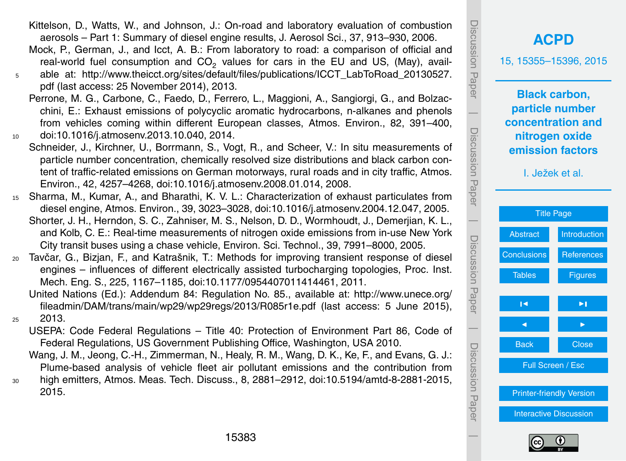- Kittelson, D., Watts, W., and Johnson, J.: On-road and laboratory evaluation of combustion aerosols – Part 1: Summary of diesel engine results, J. Aerosol Sci., 37, 913–930, 2006.
- Mock, P., German, J., and Icct, A. B.: From laboratory to road: a comparison of official and real-world fuel consumption and  $CO_2$  values for cars in the EU and US, (May), avail-
- <sup>5</sup> able at: [http://www.theicct.org/sites/default/files/publications/ICCT\\_LabToRoad\\_20130527.](http://www.theicct.org/sites/default/files/publications/ICCT_LabToRoad_20130527.pdf) [pdf](http://www.theicct.org/sites/default/files/publications/ICCT_LabToRoad_20130527.pdf) (last access: 25 November 2014), 2013.
- Perrone, M. G., Carbone, C., Faedo, D., Ferrero, L., Maggioni, A., Sangiorgi, G., and Bolzacchini, E.: Exhaust emissions of polycyclic aromatic hydrocarbons, n-alkanes and phenols from vehicles coming within different European classes, Atmos. Environ., 82, 391–400, <sup>10</sup> doi[:10.1016/j.atmosenv.2013.10.040,](http://dx.doi.org/10.1016/j.atmosenv.2013.10.040) 2014.
- Schneider, J., Kirchner, U., Borrmann, S., Vogt, R., and Scheer, V.: In situ measurements of particle number concentration, chemically resolved size distributions and black carbon content of traffic-related emissions on German motorways, rural roads and in city traffic, Atmos. Environ., 42, 4257–4268, doi[:10.1016/j.atmosenv.2008.01.014,](http://dx.doi.org/10.1016/j.atmosenv.2008.01.014) 2008.
- <sup>15</sup> Sharma, M., Kumar, A., and Bharathi, K. V. L.: Characterization of exhaust particulates from diesel engine, Atmos. Environ., 39, 3023–3028, doi[:10.1016/j.atmosenv.2004.12.047,](http://dx.doi.org/10.1016/j.atmosenv.2004.12.047) 2005. Shorter, J. H., Herndon, S. C., Zahniser, M. S., Nelson, D. D., Wormhoudt, J., Demerjian, K. L., and Kolb, C. E.: Real-time measurements of nitrogen oxide emissions from in-use New York City transit buses using a chase vehicle, Environ. Sci. Technol., 39, 7991–8000, 2005.
- <sup>20</sup> Tavčar, G., Bizjan, F., and Katrašnik, T.: Methods for improving transient response of diesel engines – influences of different electrically assisted turbocharging topologies, Proc. Inst. Mech. Eng. S., 225, 1167–1185, doi[:10.1177/0954407011414461,](http://dx.doi.org/10.1177/0954407011414461) 2011.
- [U](http://www.unece.org/fileadmin/DAM/trans/main/wp29/wp29regs/2013/R085r1e.pdf)nited Nations (Ed.): Addendum 84: Regulation No. 85., available at: [http://www.unece.org/](http://www.unece.org/fileadmin/DAM/trans/main/wp29/wp29regs/2013/R085r1e.pdf) [fileadmin/DAM/trans/main/wp29/wp29regs/2013/R085r1e.pdf](http://www.unece.org/fileadmin/DAM/trans/main/wp29/wp29regs/2013/R085r1e.pdf) (last access: 5 June 2015), <sup>25</sup> 2013.
	- USEPA: Code Federal Regulations Title 40: Protection of Environment Part 86, Code of Federal Regulations, US Government Publishing Office, Washington, USA 2010.
	- Wang, J. M., Jeong, C.-H., Zimmerman, N., Healy, R. M., Wang, D. K., Ke, F., and Evans, G. J.: Plume-based analysis of vehicle fleet air pollutant emissions and the contribution from
- <sup>30</sup> high emitters, Atmos. Meas. Tech. Discuss., 8, 2881–2912, doi[:10.5194/amtd-8-2881-2015,](http://dx.doi.org/10.5194/amtd-8-2881-2015) 2015.



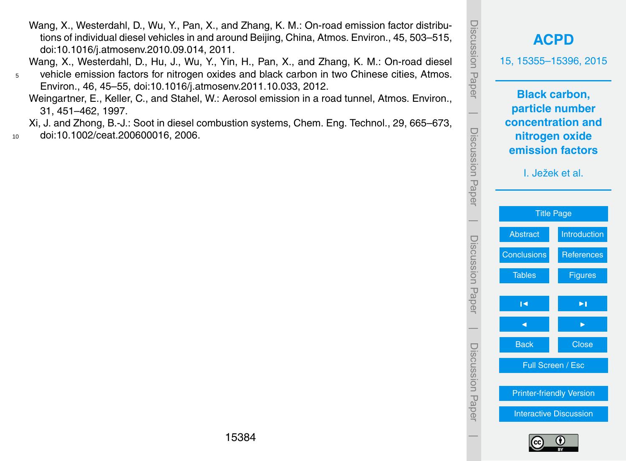**[ACPD](http://www.atmos-chem-phys-discuss.net)** 15, 15355–15396, 2015 **Black carbon, particle number concentration and nitrogen oxide emission factors** I. Ježek et al. [Title Page](#page-0-0) [Abstract](#page-1-0) [Introduction](#page-2-0) [Conclusions](#page-23-0) [References](#page-25-0) [Tables](#page-30-0) **[Figures](#page-37-0)** J I J I Back **Close** Full Screen / Esc [Printer-friendly Version](http://www.atmos-chem-phys-discuss.net/15/15355/2015/acpd-15-15355-2015-print.pdf) [Interactive Discussion](http://www.atmos-chem-phys-discuss.net/15/15355/2015/acpd-15-15355-2015-discussion.html)

Discussion Paper

Discussion Paper

 $\overline{\phantom{a}}$ 

Discussion Paper

Discussion Paper

 $\overline{\phantom{a}}$ 

Discussion Paper

Discussion Paper

 $\overline{\phantom{a}}$ 

Discussion Paper

Discussion Paper

 $\overline{\phantom{a}}$ 



Wang, X., Westerdahl, D., Wu, Y., Pan, X., and Zhang, K. M.: On-road emission factor distributions of individual diesel vehicles in and around Beijing, China, Atmos. Environ., 45, 503–515, doi[:10.1016/j.atmosenv.2010.09.014,](http://dx.doi.org/10.1016/j.atmosenv.2010.09.014) 2011.

Wang, X., Westerdahl, D., Hu, J., Wu, Y., Yin, H., Pan, X., and Zhang, K. M.: On-road diesel <sup>5</sup> vehicle emission factors for nitrogen oxides and black carbon in two Chinese cities, Atmos.

Environ., 46, 45–55, doi[:10.1016/j.atmosenv.2011.10.033,](http://dx.doi.org/10.1016/j.atmosenv.2011.10.033) 2012.

Weingartner, E., Keller, C., and Stahel, W.: Aerosol emission in a road tunnel, Atmos. Environ., 31, 451–462, 1997.

Xi, J. and Zhong, B.-J.: Soot in diesel combustion systems, Chem. Eng. Technol., 29, 665–673, <sup>10</sup> doi[:10.1002/ceat.200600016,](http://dx.doi.org/10.1002/ceat.200600016) 2006.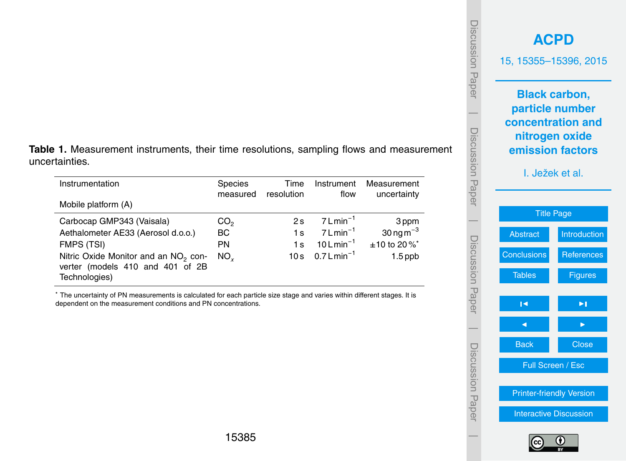#### <span id="page-30-0"></span>**Table 1.** Measurement instruments, their time resolutions, sampling flows and measurement uncertainties.

| Instrumentation                                                                                       | Species<br>measured | Time<br>resolution | Instrument<br>flow           | Measurement<br>uncertainty           |
|-------------------------------------------------------------------------------------------------------|---------------------|--------------------|------------------------------|--------------------------------------|
| Mobile platform (A)                                                                                   |                     |                    |                              |                                      |
| Carbocap GMP343 (Vaisala)                                                                             | CO <sub>2</sub>     | 2s                 | $7$ L min <sup>-1</sup>      | 3 ppm                                |
| Aethalometer AE33 (Aerosol d.o.o.)                                                                    | <b>BC</b>           | 1 <sub>s</sub>     | $7$ L min <sup>-1</sup>      | $30$ ng m <sup><math>-3</math></sup> |
| FMPS (TSI)                                                                                            | PN                  | 1 <sub>s</sub>     | $10$ L min <sup>-1</sup>     | $±10$ to 20% <sup>*</sup>            |
| Nitric Oxide Monitor and an NO <sub>2</sub> con-<br>verter (models 410 and 401 of 2B<br>Technologies) | $NO_{\nu}$          |                    | 10s $0.7$ Lmin <sup>-1</sup> | $1.5$ ppb                            |

<sup>∗</sup> The uncertainty of PN measurements is calculated for each particle size stage and varies within different stages. It is dependent on the measurement conditions and PN concentrations.

|                                                                                                                       | <b>ACPD</b><br>15, 15355-15396, 2015 |  |  |  |  |
|-----------------------------------------------------------------------------------------------------------------------|--------------------------------------|--|--|--|--|
| <b>Black carbon,</b><br>particle number<br>concentration and<br>nitrogen oxide<br>emission factors<br>I. Ježek et al. |                                      |  |  |  |  |
| <b>Title Page</b>                                                                                                     |                                      |  |  |  |  |
| <b>Abstract</b>                                                                                                       | Introduction                         |  |  |  |  |
|                                                                                                                       | <b>References</b>                    |  |  |  |  |
| Conclusions                                                                                                           |                                      |  |  |  |  |
| <b>Tables</b>                                                                                                         | <b>Figures</b>                       |  |  |  |  |
| ∣◀                                                                                                                    | ►∣                                   |  |  |  |  |
|                                                                                                                       |                                      |  |  |  |  |
| <b>Back</b>                                                                                                           | Close                                |  |  |  |  |
| Full Screen / Esc                                                                                                     |                                      |  |  |  |  |
| <b>Printer-friendly Version</b>                                                                                       |                                      |  |  |  |  |
|                                                                                                                       | <b>Interactive Discussion</b>        |  |  |  |  |

Discussion Paper

Discussion Paper

 $\overline{\phantom{a}}$ 

Discussion Paper

Discussion Paper

 $\overline{\phantom{a}}$ 

Discussion Paper

Discussion Paper

 $\overline{\phantom{a}}$ 

Discussion Paper

Discussion Paper

 $\overline{\phantom{a}}$ 

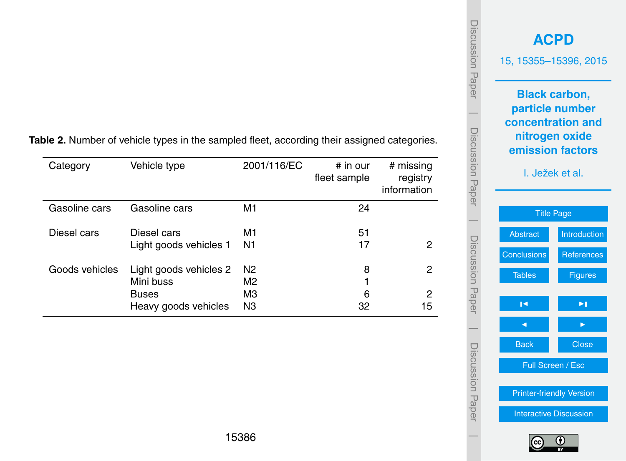| Category       | Vehicle type           | 2001/116/EC    | $#$ in our<br>fleet sample | # missing<br>registry<br>information |
|----------------|------------------------|----------------|----------------------------|--------------------------------------|
| Gasoline cars  | Gasoline cars          | M1             | 24                         |                                      |
| Diesel cars    | Diesel cars            | M1             | 51                         |                                      |
|                | Light goods vehicles 1 | N1             | 17                         | 2                                    |
| Goods vehicles | Light goods vehicles 2 | N <sub>2</sub> | 8                          | 2                                    |
|                | Mini buss              | M2             |                            |                                      |
|                | <b>Buses</b>           | MЗ             | 6                          | 2                                    |
|                | Heavy goods vehicles   | N3             | 32                         | 15                                   |

**Table 2.** Number of vehicle types in the sampled fleet, according their assigned categories.



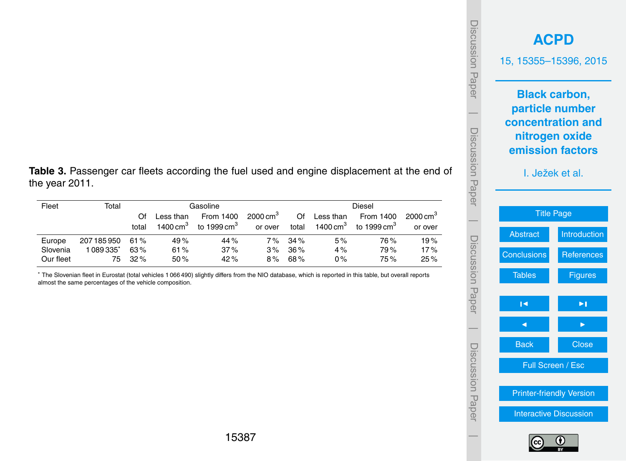| Discussion Paper | <b>ACPD</b><br>15, 15355-15396, 2015 |                                                         |  |  |  |  |  |
|------------------|--------------------------------------|---------------------------------------------------------|--|--|--|--|--|
|                  |                                      | <b>Black carbon,</b><br>particle number                 |  |  |  |  |  |
|                  |                                      | concentration and<br>nitrogen oxide<br>emission factors |  |  |  |  |  |
| Discussion Paper | I. Ježek et al.                      |                                                         |  |  |  |  |  |
|                  | <b>Title Page</b>                    |                                                         |  |  |  |  |  |
|                  | <b>Abstract</b>                      | Introduction                                            |  |  |  |  |  |
|                  | Conclusions                          | <b>References</b>                                       |  |  |  |  |  |
| Discussion Paper | <b>Tables</b>                        | <b>Figures</b>                                          |  |  |  |  |  |
|                  | ∣◀                                   | ►∣                                                      |  |  |  |  |  |
|                  |                                      |                                                         |  |  |  |  |  |
|                  | <b>Back</b>                          | <b>Close</b>                                            |  |  |  |  |  |
| Discussion Paper |                                      | Full Screen / Esc                                       |  |  |  |  |  |
|                  | <b>Printer-friendly Version</b>      |                                                         |  |  |  |  |  |
|                  | <b>Interactive Discussion</b>        |                                                         |  |  |  |  |  |
|                  |                                      |                                                         |  |  |  |  |  |

 $\overline{ }$ 

**Table 3.** Passenger car fleets according the fuel used and engine displacement at the end of the year 2011.

| Fleet     | Total       |        | Gasoline                                      |                |         |           |            | Diesel              |         |
|-----------|-------------|--------|-----------------------------------------------|----------------|---------|-----------|------------|---------------------|---------|
|           |             | Ωf     | $2000 \text{ cm}^3$<br>From 1400<br>Less than |                | Of      | Less than | From 1400  | $2000 \text{ cm}^3$ |         |
|           |             | total  | 1400 $cm3$                                    | to 1999 cm $3$ | or over | total     | 1400 $cm3$ | to 1999 cm $^3\,$   | or over |
| Europe    | 207 185 950 | 61%    | 49%                                           | 44%            | 7 %     | 34%       | 5%         | 76%                 | 19%     |
| Slovenia  | 1089335*    | 63%    | 61%                                           | 37%            | 3%      | 36%       | 4%         | 79%                 | 17%     |
| Our fleet | 75          | $32\%$ | 50%                                           | 42%            | 8%      | 68%       | $0\%$      | 75%                 | 25%     |

<sup>∗</sup> The Slovenian fleet in Eurostat (total vehicles 1 066 490) slightly differs from the NIO database, which is reported in this table, but overall reports almost the same percentages of the vehicle composition.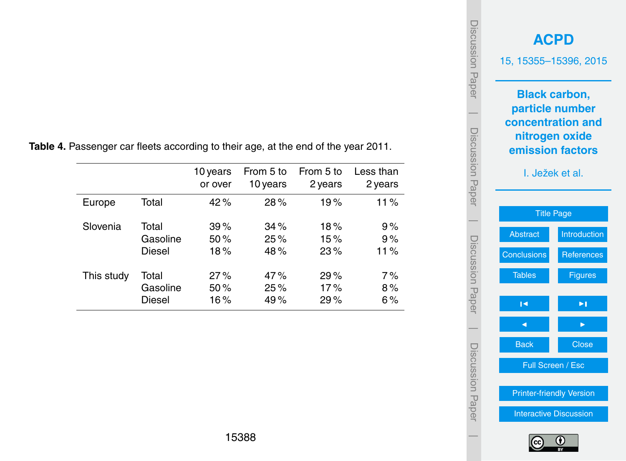|            |          | 10 years<br>or over | From 5 to<br>10 years | From 5 to<br>2 years | Less than<br>2 years |
|------------|----------|---------------------|-----------------------|----------------------|----------------------|
| Europe     | Total    | 42%                 | 28%                   | 19%                  | 11%                  |
| Slovenia   | Total    | 39%                 | 34%                   | 18%                  | 9%                   |
|            | Gasoline | 50%                 | 25%                   | 15%                  | 9%                   |
|            | Diesel   | 18%                 | 48%                   | 23%                  | 11%                  |
| This study | Total    | 27%                 | 47%                   | 29%                  | 7%                   |
|            | Gasoline | 50%                 | 25%                   | 17%                  | 8%                   |
|            | Diesel   | 16%                 | 49%                   | 29%                  | 6%                   |

**Table 4.** Passenger car fleets according to their age, at the end of the year 2011.

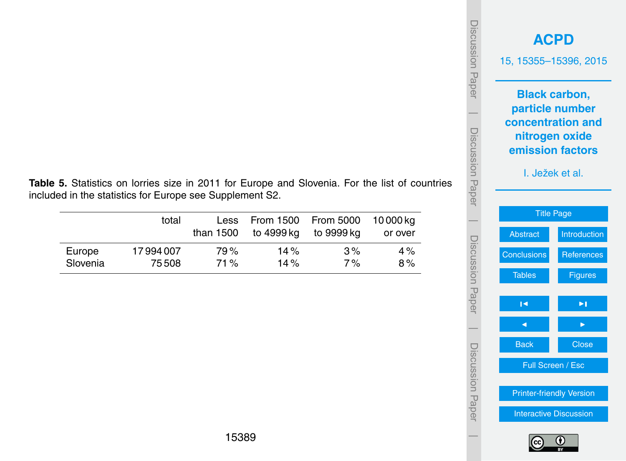| <b>JISCUSSION Paper</b> |                    | <b>ACPD</b><br>15, 15355-15396, 2015                                                               |  |  |  |  |
|-------------------------|--------------------|----------------------------------------------------------------------------------------------------|--|--|--|--|
|                         |                    | <b>Black carbon,</b><br>particle number<br>concentration and<br>nitrogen oxide<br>emission factors |  |  |  |  |
| Discussion<br>Haper     |                    | I. Ježek et al.<br><b>Title Page</b>                                                               |  |  |  |  |
|                         | Abstract           | Introduction                                                                                       |  |  |  |  |
|                         | <b>Conclusions</b> | References                                                                                         |  |  |  |  |
|                         | <b>Tables</b>      | <b>Figures</b>                                                                                     |  |  |  |  |
| Discussion Paper        | ĨЧ                 | $\blacktriangleright$ [                                                                            |  |  |  |  |
|                         |                    |                                                                                                    |  |  |  |  |
|                         | <b>Back</b>        | Close                                                                                              |  |  |  |  |
| Discussion Papel        |                    | Full Screen / Esc                                                                                  |  |  |  |  |
|                         |                    | <b>Printer-friendly Version</b>                                                                    |  |  |  |  |
|                         |                    | <b>Interactive Discussion</b>                                                                      |  |  |  |  |
|                         |                    |                                                                                                    |  |  |  |  |

**Table 5.** Statistics on lorries size in 2011 for Europe and Slovenia. For the list of countries included in the statistics for Europe see Supplement S2.

|                    | total              | Less<br>than 1500 | From 1500    From 5000<br>to 4999 kg | to 9999 ka | 10 000 ka<br>or over |
|--------------------|--------------------|-------------------|--------------------------------------|------------|----------------------|
| Europe<br>Slovenia | 17994007<br>75 508 | 79 %<br>71%       | 14 $\%$<br>14%                       | 3%<br>7%   | $4\%$<br>8%          |
|                    |                    |                   |                                      |            |                      |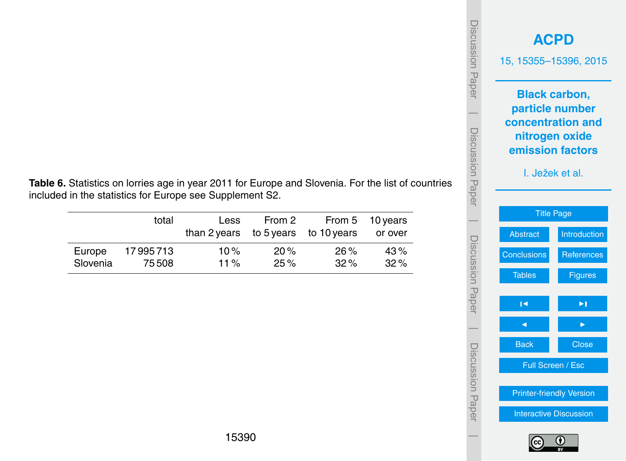

**Table 6.** Statistics on lorries age in year 2011 for Europe and Slovenia. For the list of countries included in the statistics for Europe see Supplement S2.

|          | total    | Less<br>than 2 years to 5 years to 10 years | From 2 |        | From 5 10 years<br>or over |
|----------|----------|---------------------------------------------|--------|--------|----------------------------|
| Europe   | 17995713 | 10%                                         | 20%    | $26\%$ | 43%                        |
| Slovenia | 75508    | 11 $\%$                                     | 25%    | $32\%$ | $32\%$                     |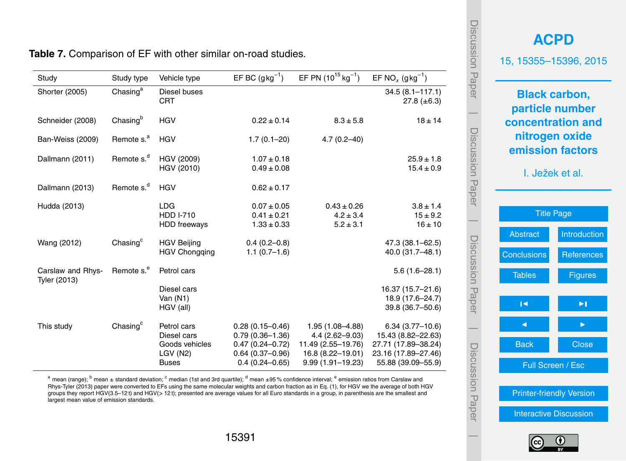| Study             | Study type             | Vehicle type                                                            | EF BC $(gkg^{-1})$                                                                                           | EF PN $(10^{15}$ kg <sup>-1</sup> )                                                                          | EF NO <sub>x</sub> $(gkg^{-1})$                                                                             |
|-------------------|------------------------|-------------------------------------------------------------------------|--------------------------------------------------------------------------------------------------------------|--------------------------------------------------------------------------------------------------------------|-------------------------------------------------------------------------------------------------------------|
| Shorter (2005)    | Chasing $a$            | Diesel buses<br><b>CRT</b>                                              |                                                                                                              |                                                                                                              | $34.5(8.1 - 117.1)$<br>$27.8 (\pm 6.3)$                                                                     |
| Schneider (2008)  | Chasing <sup>b</sup>   | <b>HGV</b>                                                              | $0.22 \pm 0.14$                                                                                              | $8.3 \pm 5.8$                                                                                                | $18 \pm 14$                                                                                                 |
| Ban-Weiss (2009)  | Remote s. <sup>a</sup> | HGV                                                                     | $1.7(0.1 - 20)$                                                                                              | $4.7(0.2 - 40)$                                                                                              |                                                                                                             |
| Dallmann (2011)   | Remote s. <sup>d</sup> | HGV (2009)<br>HGV (2010)                                                | $1.07 \pm 0.18$<br>$0.49 \pm 0.08$                                                                           |                                                                                                              | $25.9 \pm 1.8$<br>$15.4 \pm 0.9$                                                                            |
| Dallmann (2013)   | Remote s. <sup>d</sup> | <b>HGV</b>                                                              | $0.62 \pm 0.17$                                                                                              |                                                                                                              |                                                                                                             |
| Hudda (2013)      |                        | <b>LDG</b><br><b>HDD I-710</b><br><b>HDD</b> freeways                   | $0.07 \pm 0.05$<br>$0.41 \pm 0.21$<br>$1.33 \pm 0.33$                                                        | $0.43 \pm 0.26$<br>$4.2 \pm 3.4$<br>$5.2 \pm 3.1$                                                            | $3.8 \pm 1.4$<br>$15 \pm 9.2$<br>$16 \pm 10$                                                                |
| Wang (2012)       | Chasing <sup>c</sup>   | <b>HGV Beijing</b><br><b>HGV Chongqing</b>                              | $0.4(0.2 - 0.8)$<br>$1.1(0.7-1.6)$                                                                           |                                                                                                              | $47.3(38.1 - 62.5)$<br>40.0 (31.7-48.1)                                                                     |
| Carslaw and Rhys- | Remote s. <sup>e</sup> | Petrol cars                                                             |                                                                                                              |                                                                                                              | $5.6(1.6-28.1)$                                                                                             |
| Tyler (2013)      |                        | Diesel cars<br>Van $(N1)$<br>HGV (all)                                  |                                                                                                              |                                                                                                              | 16.37 (15.7-21.6)<br>18.9 (17.6-24.7)<br>39.8 (36.7-50.6)                                                   |
| This study        | Chasing $c$            | Petrol cars<br>Diesel cars<br>Goods vehicles<br>LGV(N2)<br><b>Buses</b> | $0.28(0.15 - 0.46)$<br>$0.79(0.36 - 1.36)$<br>$0.47(0.24 - 0.72)$<br>$0.64(0.37-0.96)$<br>$0.4(0.24 - 0.65)$ | $1.95(1.08 - 4.88)$<br>$4.4(2.62 - 9.03)$<br>11.49 (2.55-19.76)<br>16.8 (8.22-19.01)<br>$9.99(1.91 - 19.23)$ | $6.34(3.77-10.6)$<br>15.43 (8.82-22.63)<br>27.71 (17.89-38.24)<br>23.16 (17.89-27.46)<br>55.88 (39.09-55.9) |

**Table 7.** Comparison of EF with other similar on-road studies.

a mean (range);  $\rm{^{b}}$  mean  $\pm$  standard deviation;  $\rm{^{c}}$  median (1st and 3rd quartile);  $\rm{^{d}}$  mean  $\pm$ 95 % confidence interval;  $\rm{^{e}}$  emission ratios from Carslaw and Rhys-Tyler (2013) paper were converted to EFs using the same molecular weights and carbon fraction as in Eq. (1), for HGV we the average of both HGV groups they report HGV(3.5–12 t) and HGV(*>* 12 t); presented are average values for all Euro standards in a group, in parenthesis are the smallest and largest mean value of emission standards.

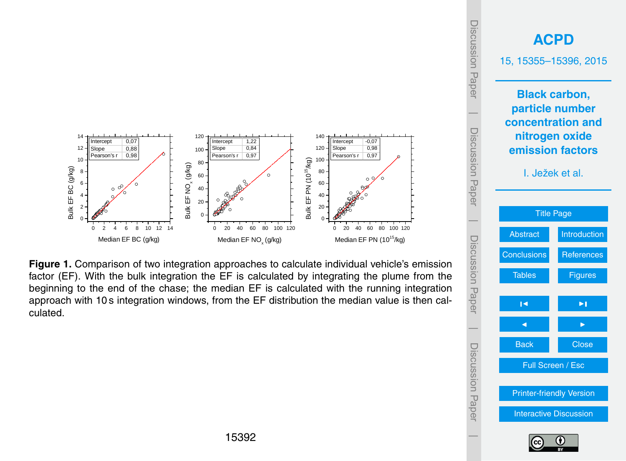<span id="page-37-0"></span>

**Figure 1.** Comparison of two integration approaches to calculate individual vehicle's emission factor (EF). With the bulk integration the EF is calculated by integrating the plume from the beginning to the end of the chase; the median EF is calculated with the running integration approach with 10 s integration windows, from the EF distribution the median value is then calculated.



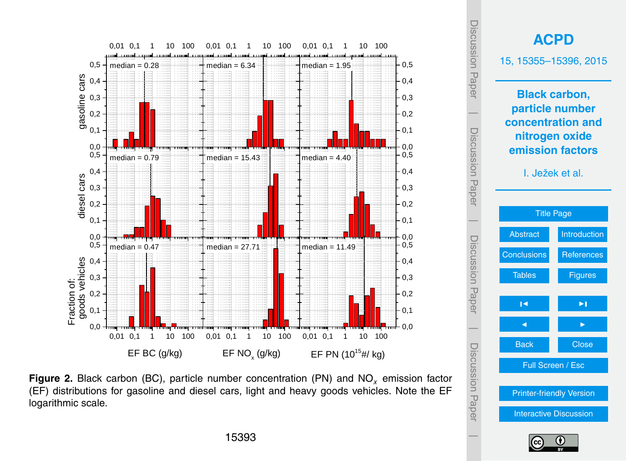



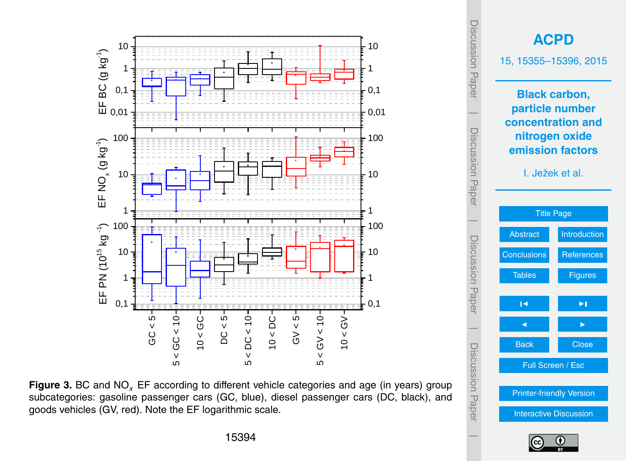

**Figure 3.** BC and NO*<sup>x</sup>* EF according to different vehicle categories and age (in years) group subcategories: gasoline passenger cars (GC, blue), diesel passenger cars (DC, black), and goods vehicles (GV, red). Note the EF logarithmic scale.



Discussion Paper

 $\overline{\phantom{a}}$ 

Discussion Paper

 $\overline{\phantom{a}}$ 

Discussion Paper

 $\overline{\phantom{a}}$ 

Discussion Paper

 $\overline{\phantom{a}}$ 

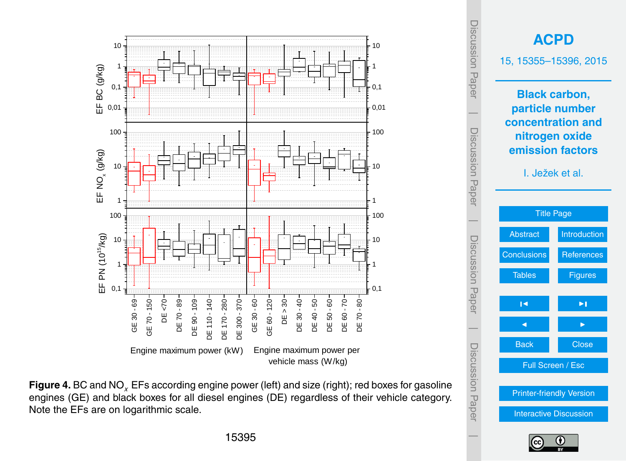